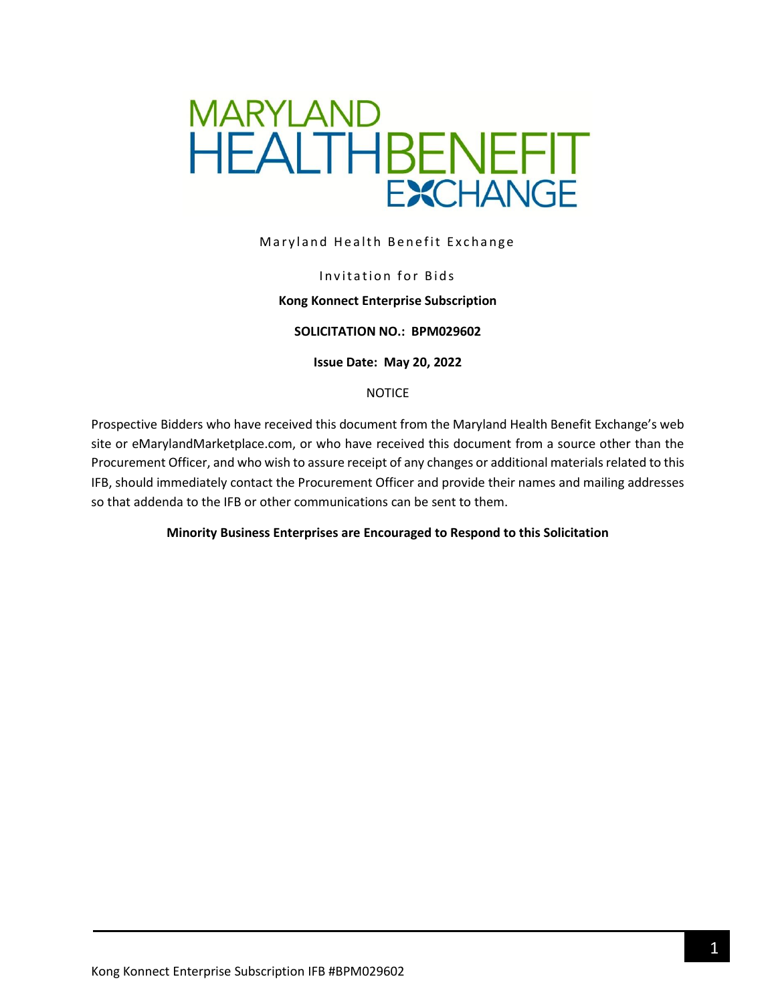

Maryland Health Benefit Exchange

#### Invitation for Bids

#### **Kong Konnect Enterprise Subscription**

#### **SOLICITATION NO.: BPM029602**

**Issue Date: May 20, 2022**

#### NOTICE

Prospective Bidders who have received this document from the Maryland Health Benefit Exchange's web site or eMarylandMarketplace.com, or who have received this document from a source other than the Procurement Officer, and who wish to assure receipt of any changes or additional materials related to this IFB, should immediately contact the Procurement Officer and provide their names and mailing addresses so that addenda to the IFB or other communications can be sent to them.

#### **Minority Business Enterprises are Encouraged to Respond to this Solicitation**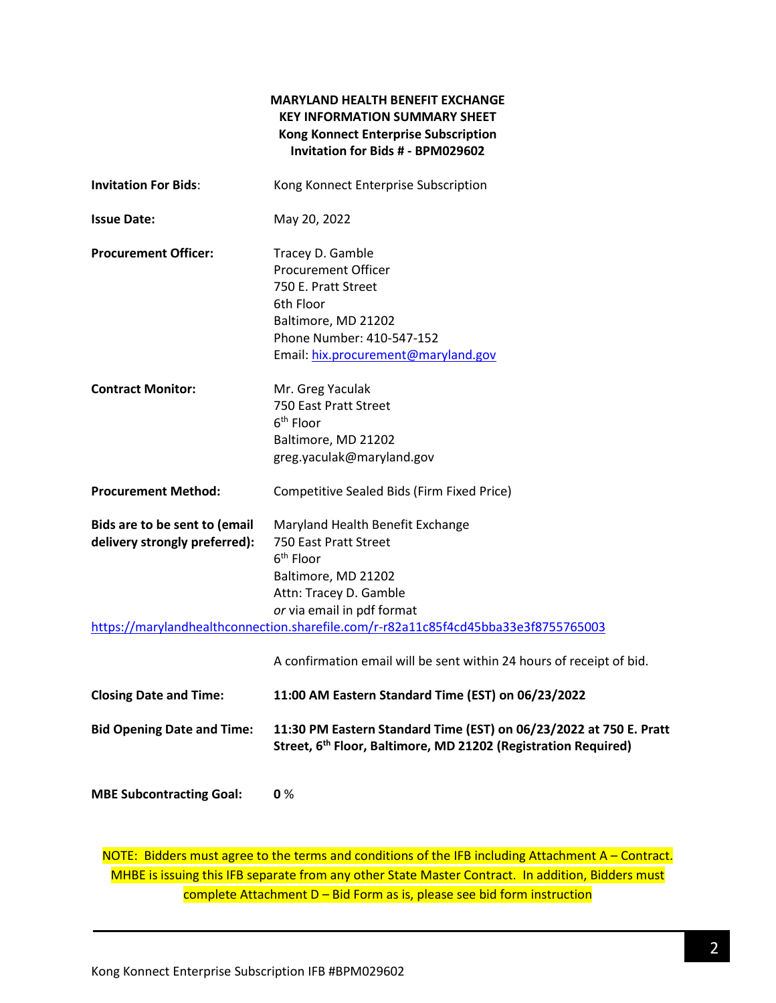# **MARYLAND HEALTH BENEFIT EXCHANGE KEY INFORMATION SUMMARY SHEET Kong Konnect Enterprise Subscription Invitation for Bids # - BPM029602**

| <b>Invitation For Bids:</b>                                    | Kong Konnect Enterprise Subscription                                                                                                                                          |
|----------------------------------------------------------------|-------------------------------------------------------------------------------------------------------------------------------------------------------------------------------|
| <b>Issue Date:</b>                                             | May 20, 2022                                                                                                                                                                  |
| <b>Procurement Officer:</b>                                    | Tracey D. Gamble<br><b>Procurement Officer</b><br>750 E. Pratt Street<br>6th Floor<br>Baltimore, MD 21202<br>Phone Number: 410-547-152<br>Email: hix.procurement@maryland.gov |
| <b>Contract Monitor:</b>                                       | Mr. Greg Yaculak<br>750 East Pratt Street<br>6 <sup>th</sup> Floor<br>Baltimore, MD 21202<br>greg.yaculak@maryland.gov                                                        |
| <b>Procurement Method:</b>                                     | Competitive Sealed Bids (Firm Fixed Price)                                                                                                                                    |
| Bids are to be sent to (email<br>delivery strongly preferred): | Maryland Health Benefit Exchange<br>750 East Pratt Street<br>6 <sup>th</sup> Floor<br>Baltimore, MD 21202<br>Attn: Tracey D. Gamble<br>or via email in pdf format             |
|                                                                | https://marylandhealthconnection.sharefile.com/r-r82a11c85f4cd45bba33e3f8755765003                                                                                            |
|                                                                | A confirmation email will be sent within 24 hours of receipt of bid.                                                                                                          |
| <b>Closing Date and Time:</b>                                  | 11:00 AM Eastern Standard Time (EST) on 06/23/2022                                                                                                                            |
| <b>Bid Opening Date and Time:</b>                              | 11:30 PM Eastern Standard Time (EST) on 06/23/2022 at 750 E. Pratt<br>Street, 6 <sup>th</sup> Floor, Baltimore, MD 21202 (Registration Required)                              |
| <b>MBE Subcontracting Goal:</b>                                | 0%                                                                                                                                                                            |

NOTE: Bidders must agree to the terms and conditions of the IFB including Attachment A - Contract. MHBE is issuing this IFB separate from any other State Master Contract. In addition, Bidders must complete Attachment D – Bid Form as is, please see bid form instruction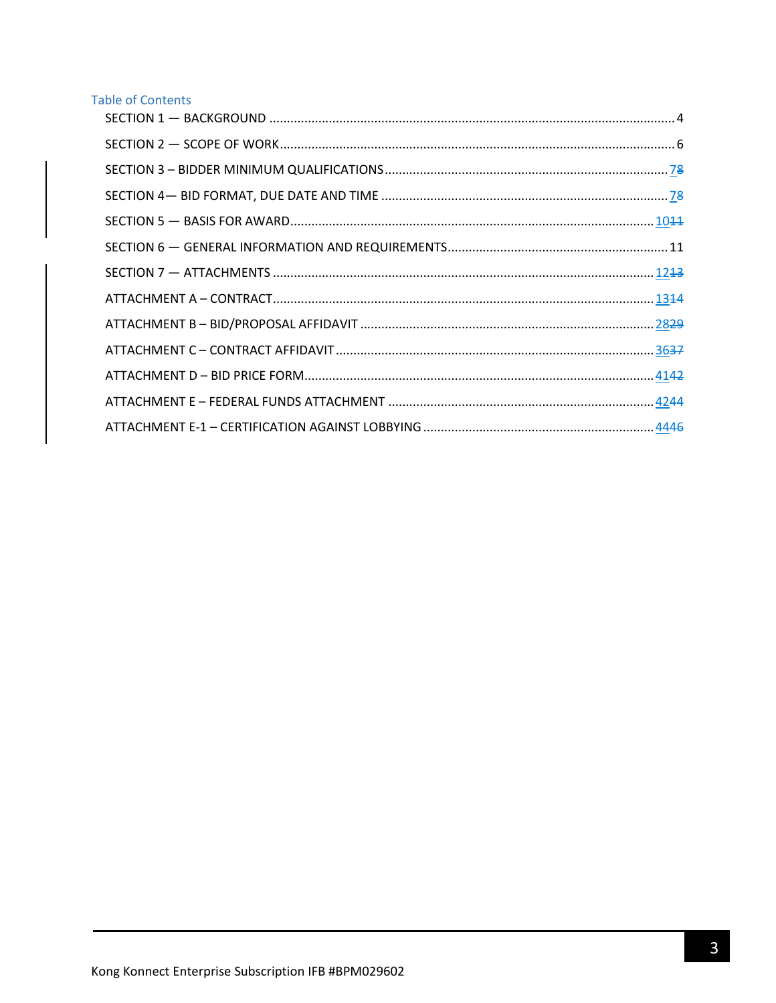# **Table of Contents**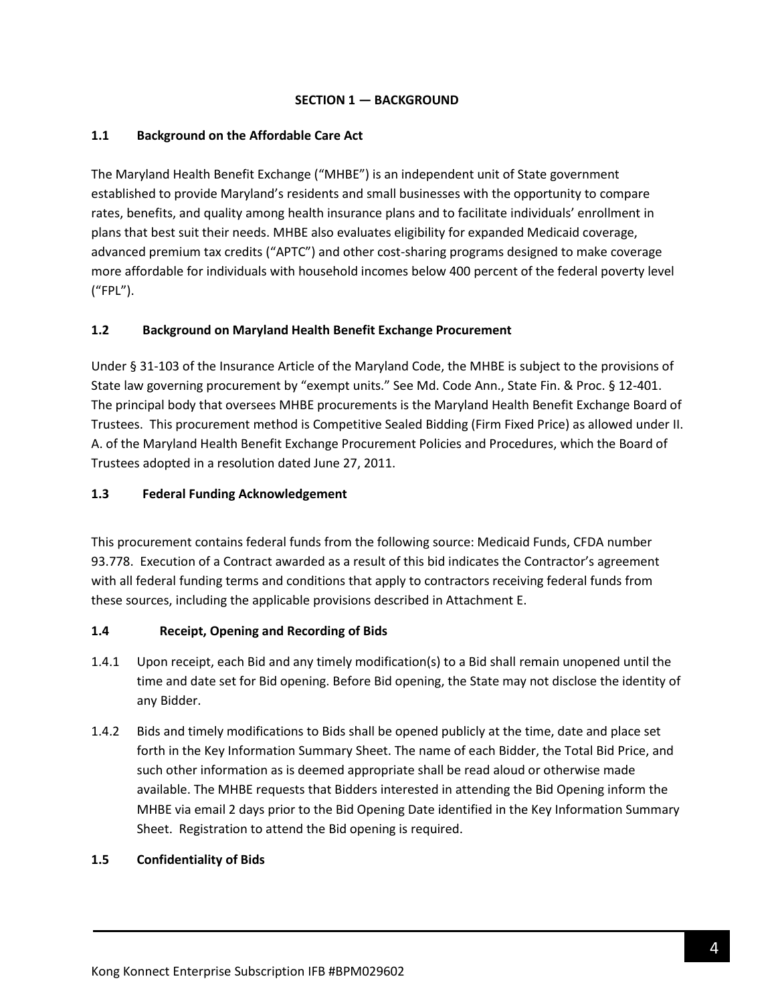# **SECTION 1 — BACKGROUND**

# <span id="page-3-0"></span>**1.1 Background on the Affordable Care Act**

The Maryland Health Benefit Exchange ("MHBE") is an independent unit of State government established to provide Maryland's residents and small businesses with the opportunity to compare rates, benefits, and quality among health insurance plans and to facilitate individuals' enrollment in plans that best suit their needs. MHBE also evaluates eligibility for expanded Medicaid coverage, advanced premium tax credits ("APTC") and other cost-sharing programs designed to make coverage more affordable for individuals with household incomes below 400 percent of the federal poverty level ("FPL").

# **1.2 Background on Maryland Health Benefit Exchange Procurement**

Under § 31-103 of the Insurance Article of the Maryland Code, the MHBE is subject to the provisions of State law governing procurement by "exempt units." See Md. Code Ann., State Fin. & Proc. § 12-401. The principal body that oversees MHBE procurements is the Maryland Health Benefit Exchange Board of Trustees. This procurement method is Competitive Sealed Bidding (Firm Fixed Price) as allowed under II. A. of the Maryland Health Benefit Exchange Procurement Policies and Procedures, which the Board of Trustees adopted in a resolution dated June 27, 2011.

### **1.3 Federal Funding Acknowledgement**

This procurement contains federal funds from the following source: Medicaid Funds, CFDA number 93.778. Execution of a Contract awarded as a result of this bid indicates the Contractor's agreement with all federal funding terms and conditions that apply to contractors receiving federal funds from these sources, including the applicable provisions described in Attachment E.

### **1.4 Receipt, Opening and Recording of Bids**

- 1.4.1 Upon receipt, each Bid and any timely modification(s) to a Bid shall remain unopened until the time and date set for Bid opening. Before Bid opening, the State may not disclose the identity of any Bidder.
- 1.4.2 Bids and timely modifications to Bids shall be opened publicly at the time, date and place set forth in the Key Information Summary Sheet. The name of each Bidder, the Total Bid Price, and such other information as is deemed appropriate shall be read aloud or otherwise made available. The MHBE requests that Bidders interested in attending the Bid Opening inform the MHBE via email 2 days prior to the Bid Opening Date identified in the Key Information Summary Sheet. Registration to attend the Bid opening is required.

### **1.5 Confidentiality of Bids**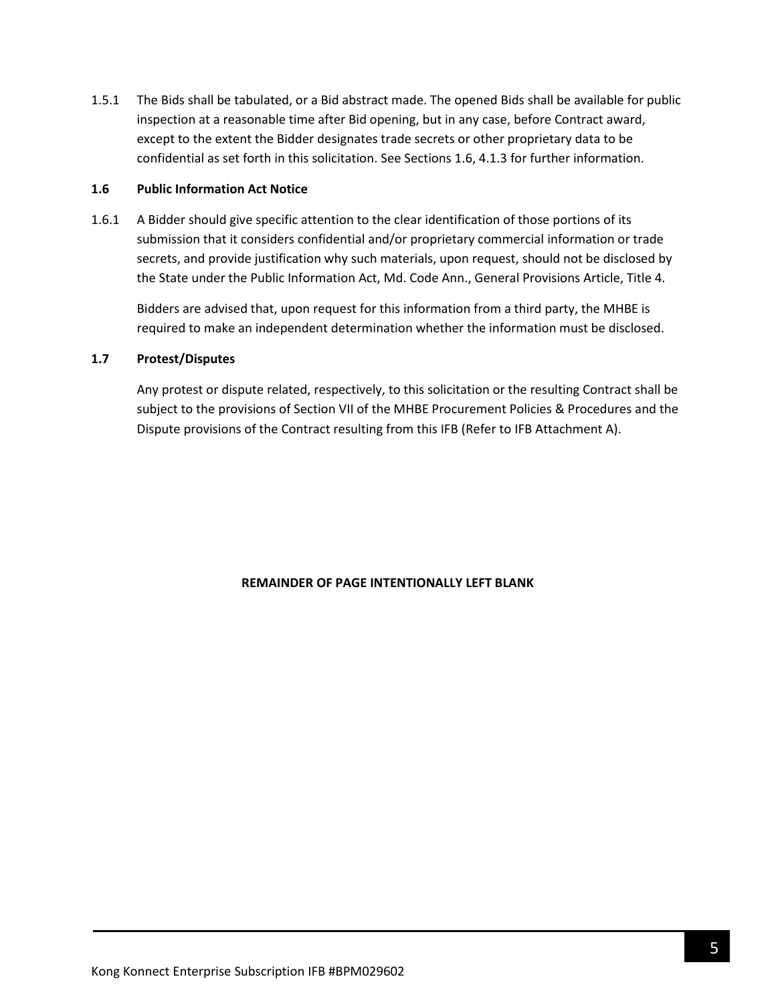1.5.1 The Bids shall be tabulated, or a Bid abstract made. The opened Bids shall be available for public inspection at a reasonable time after Bid opening, but in any case, before Contract award, except to the extent the Bidder designates trade secrets or other proprietary data to be confidential as set forth in this solicitation. See Sections 1.6, 4.1.3 for further information.

#### **1.6 Public Information Act Notice**

1.6.1 A Bidder should give specific attention to the clear identification of those portions of its submission that it considers confidential and/or proprietary commercial information or trade secrets, and provide justification why such materials, upon request, should not be disclosed by the State under the Public Information Act, Md. Code Ann., General Provisions Article, Title 4.

Bidders are advised that, upon request for this information from a third party, the MHBE is required to make an independent determination whether the information must be disclosed.

# **1.7 Protest/Disputes**

Any protest or dispute related, respectively, to this solicitation or the resulting Contract shall be subject to the provisions of Section VII of the MHBE Procurement Policies & Procedures and the Dispute provisions of the Contract resulting from this IFB (Refer to IFB Attachment A).

### **REMAINDER OF PAGE INTENTIONALLY LEFT BLANK**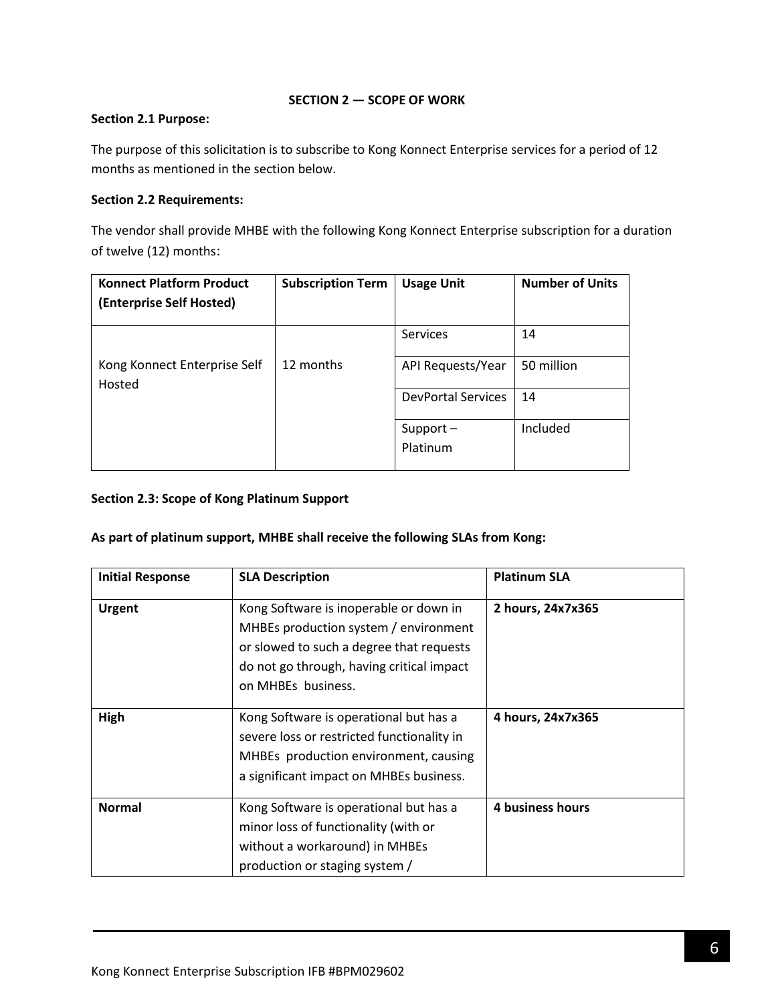### **SECTION 2 — SCOPE OF WORK**

### <span id="page-5-0"></span>**Section 2.1 Purpose:**

The purpose of this solicitation is to subscribe to Kong Konnect Enterprise services for a period of 12 months as mentioned in the section below.

# **Section 2.2 Requirements:**

The vendor shall provide MHBE with the following Kong Konnect Enterprise subscription for a duration of twelve (12) months:

| <b>Konnect Platform Product</b><br>(Enterprise Self Hosted) | <b>Subscription Term</b> | <b>Usage Unit</b>         | <b>Number of Units</b> |
|-------------------------------------------------------------|--------------------------|---------------------------|------------------------|
|                                                             |                          | Services                  | 14                     |
| Kong Konnect Enterprise Self<br>Hosted                      | 12 months                | API Requests/Year         | 50 million             |
|                                                             |                          | <b>DevPortal Services</b> | 14                     |
|                                                             |                          | Support $-$               | Included               |
|                                                             |                          | Platinum                  |                        |

# **Section 2.3: Scope of Kong Platinum Support**

# **As part of platinum support, MHBE shall receive the following SLAs from Kong:**

| <b>Initial Response</b> | <b>SLA Description</b>                                                                                                                                                                         | <b>Platinum SLA</b> |
|-------------------------|------------------------------------------------------------------------------------------------------------------------------------------------------------------------------------------------|---------------------|
| <b>Urgent</b>           | Kong Software is inoperable or down in<br>MHBEs production system / environment<br>or slowed to such a degree that requests<br>do not go through, having critical impact<br>on MHBEs business. | 2 hours, 24x7x365   |
| High                    | Kong Software is operational but has a<br>severe loss or restricted functionality in<br>MHBEs production environment, causing<br>a significant impact on MHBEs business.                       | 4 hours, 24x7x365   |
| <b>Normal</b>           | Kong Software is operational but has a<br>minor loss of functionality (with or<br>without a workaround) in MHBEs<br>production or staging system /                                             | 4 business hours    |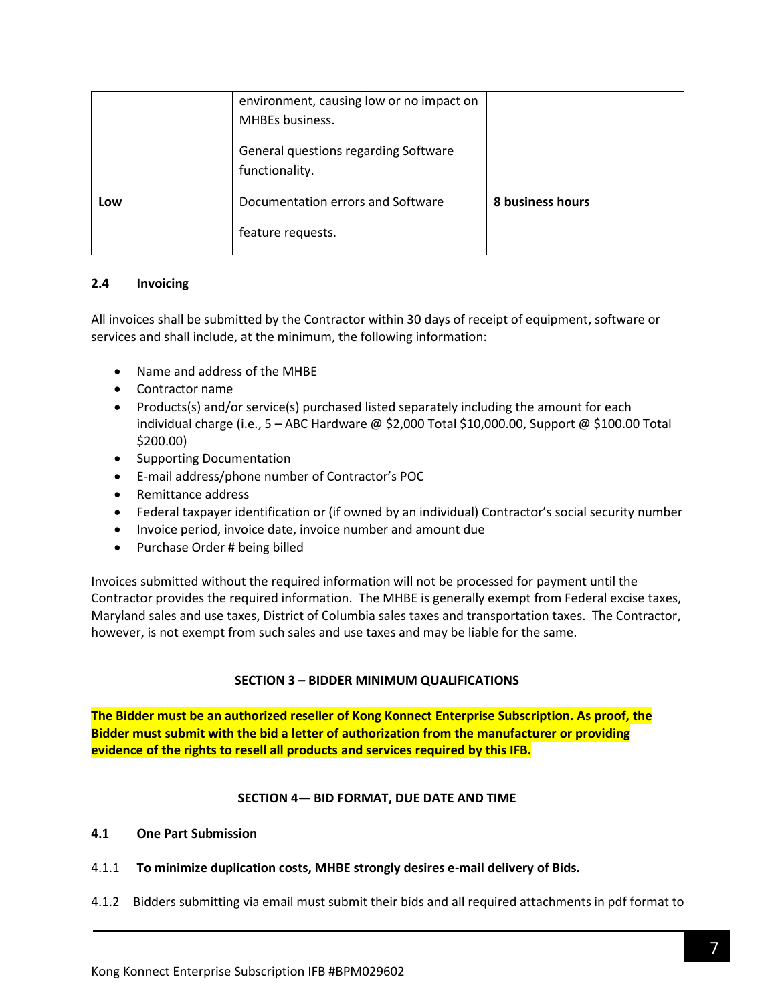|     | environment, causing low or no impact on<br>MHBEs business. |                  |
|-----|-------------------------------------------------------------|------------------|
|     | General questions regarding Software<br>functionality.      |                  |
| Low | Documentation errors and Software                           | 8 business hours |
|     | feature requests.                                           |                  |

# **2.4 Invoicing**

All invoices shall be submitted by the Contractor within 30 days of receipt of equipment, software or services and shall include, at the minimum, the following information:

- Name and address of the MHBE
- Contractor name
- Products(s) and/or service(s) purchased listed separately including the amount for each individual charge (i.e., 5 – ABC Hardware @ \$2,000 Total \$10,000.00, Support @ \$100.00 Total \$200.00)
- Supporting Documentation
- E-mail address/phone number of Contractor's POC
- Remittance address
- Federal taxpayer identification or (if owned by an individual) Contractor's social security number
- Invoice period, invoice date, invoice number and amount due
- Purchase Order # being billed

Invoices submitted without the required information will not be processed for payment until the Contractor provides the required information. The MHBE is generally exempt from Federal excise taxes, Maryland sales and use taxes, District of Columbia sales taxes and transportation taxes. The Contractor, however, is not exempt from such sales and use taxes and may be liable for the same.

### **SECTION 3 – BIDDER MINIMUM QUALIFICATIONS**

<span id="page-6-0"></span>**The Bidder must be an authorized reseller of Kong Konnect Enterprise Subscription. As proof, the Bidder must submit with the bid a letter of authorization from the manufacturer or providing evidence of the rights to resell all products and services required by this IFB.**

### **SECTION 4— BID FORMAT, DUE DATE AND TIME**

### <span id="page-6-1"></span>**4.1 One Part Submission**

- 4.1.1 **To minimize duplication costs, MHBE strongly desires e-mail delivery of Bids***.*
- 4.1.2 Bidders submitting via email must submit their bids and all required attachments in pdf format to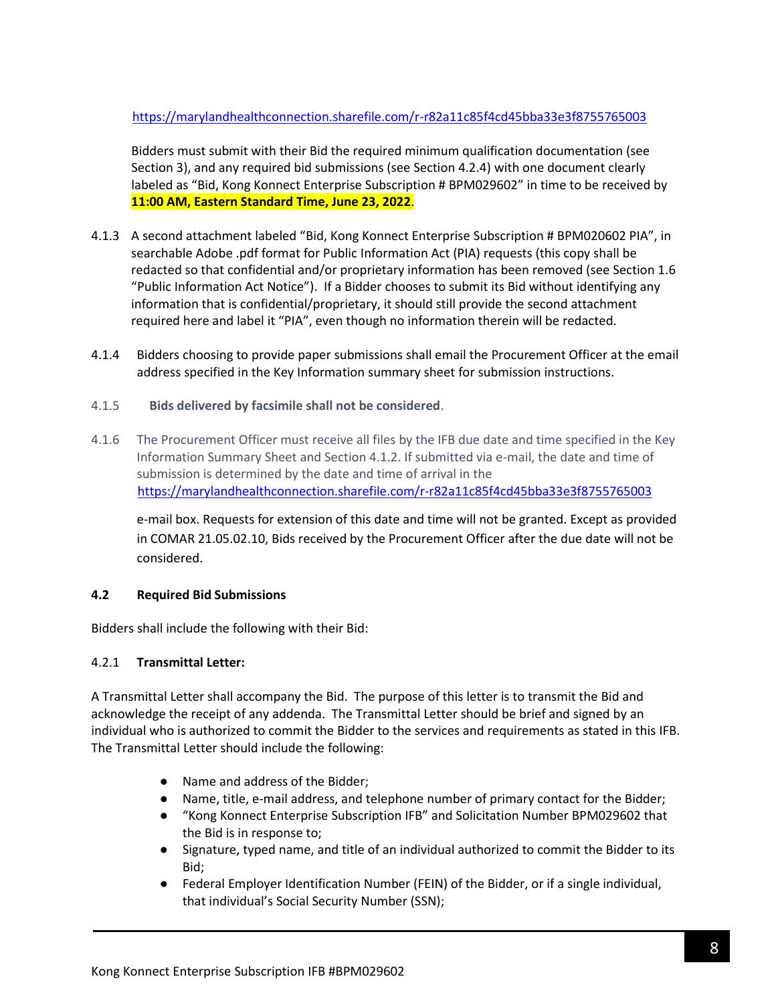# <https://marylandhealthconnection.sharefile.com/r-r82a11c85f4cd45bba33e3f8755765003>

Bidders must submit with their Bid the required minimum qualification documentation (see Section 3), and any required bid submissions (see Section 4.2.4) with one document clearly labeled as "Bid, Kong Konnect Enterprise Subscription # BPM029602" in time to be received by **11:00 AM, Eastern Standard Time, June 23, 2022**.

- 4.1.3 A second attachment labeled "Bid, Kong Konnect Enterprise Subscription # BPM020602 PIA", in searchable Adobe .pdf format for Public Information Act (PIA) requests (this copy shall be redacted so that confidential and/or proprietary information has been removed (see Section 1.6 "Public Information Act Notice"). If a Bidder chooses to submit its Bid without identifying any information that is confidential/proprietary, it should still provide the second attachment required here and label it "PIA", even though no information therein will be redacted.
- 4.1.4 Bidders choosing to provide paper submissions shall email the Procurement Officer at the email address specified in the Key Information summary sheet for submission instructions.
- 4.1.5 **Bids delivered by facsimile shall not be considered**.
- 4.1.6 The Procurement Officer must receive all files by the IFB due date and time specified in the Key Information Summary Sheet and Section 4.1.2. If submitted via e-mail, the date and time of submission is determined by the date and time of arrival in the <https://marylandhealthconnection.sharefile.com/r-r82a11c85f4cd45bba33e3f8755765003>

e-mail box. Requests for extension of this date and time will not be granted. Except as provided in COMAR 21.05.02.10, Bids received by the Procurement Officer after the due date will not be considered.

# **4.2 Required Bid Submissions**

Bidders shall include the following with their Bid:

# 4.2.1 **Transmittal Letter:**

A Transmittal Letter shall accompany the Bid. The purpose of this letter is to transmit the Bid and acknowledge the receipt of any addenda. The Transmittal Letter should be brief and signed by an individual who is authorized to commit the Bidder to the services and requirements as stated in this IFB. The Transmittal Letter should include the following:

- Name and address of the Bidder;
- Name, title, e-mail address, and telephone number of primary contact for the Bidder;
- "Kong Konnect Enterprise Subscription IFB" and Solicitation Number BPM029602 that the Bid is in response to;
- Signature, typed name, and title of an individual authorized to commit the Bidder to its Bid;
- Federal Employer Identification Number (FEIN) of the Bidder, or if a single individual, that individual's Social Security Number (SSN);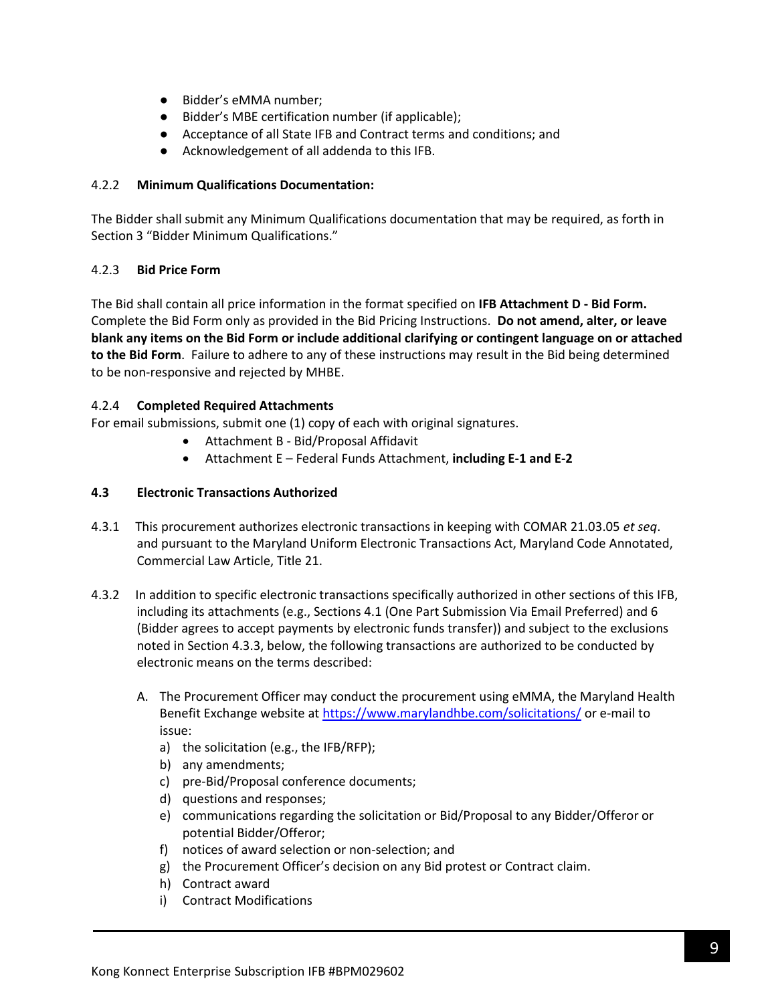- Bidder's eMMA number;
- Bidder's MBE certification number (if applicable);
- Acceptance of all State IFB and Contract terms and conditions; and
- Acknowledgement of all addenda to this IFB.

### 4.2.2 **Minimum Qualifications Documentation:**

The Bidder shall submit any Minimum Qualifications documentation that may be required, as forth in Section 3 "Bidder Minimum Qualifications."

# 4.2.3 **Bid Price Form**

The Bid shall contain all price information in the format specified on **IFB Attachment D - Bid Form.** Complete the Bid Form only as provided in the Bid Pricing Instructions. **Do not amend, alter, or leave blank any items on the Bid Form or include additional clarifying or contingent language on or attached to the Bid Form**. Failure to adhere to any of these instructions may result in the Bid being determined to be non-responsive and rejected by MHBE.

### 4.2.4 **Completed Required Attachments**

For email submissions, submit one (1) copy of each with original signatures.

- Attachment B Bid/Proposal Affidavit
- Attachment E Federal Funds Attachment, **including E-1 and E-2**

# **4.3 Electronic Transactions Authorized**

- 4.3.1 This procurement authorizes electronic transactions in keeping with COMAR 21.03.05 *et seq*. and pursuant to the Maryland Uniform Electronic Transactions Act, Maryland Code Annotated, Commercial Law Article, Title 21.
- 4.3.2 In addition to specific electronic transactions specifically authorized in other sections of this IFB, including its attachments (e.g., Sections 4.1 (One Part Submission Via Email Preferred) and 6 (Bidder agrees to accept payments by electronic funds transfer)) and subject to the exclusions noted in Section 4.3.3, below, the following transactions are authorized to be conducted by electronic means on the terms described:
	- A. The Procurement Officer may conduct the procurement using eMMA, the Maryland Health Benefit Exchange website a[t https://www.marylandhbe.com/solicitations/](https://www.marylandhbe.com/solicitations/) or e-mail to issue:
		- a) the solicitation (e.g., the IFB/RFP);
		- b) any amendments;
		- c) pre-Bid/Proposal conference documents;
		- d) questions and responses;
		- e) communications regarding the solicitation or Bid/Proposal to any Bidder/Offeror or potential Bidder/Offeror;
		- f) notices of award selection or non-selection; and
		- g) the Procurement Officer's decision on any Bid protest or Contract claim.
		- h) Contract award
		- i) Contract Modifications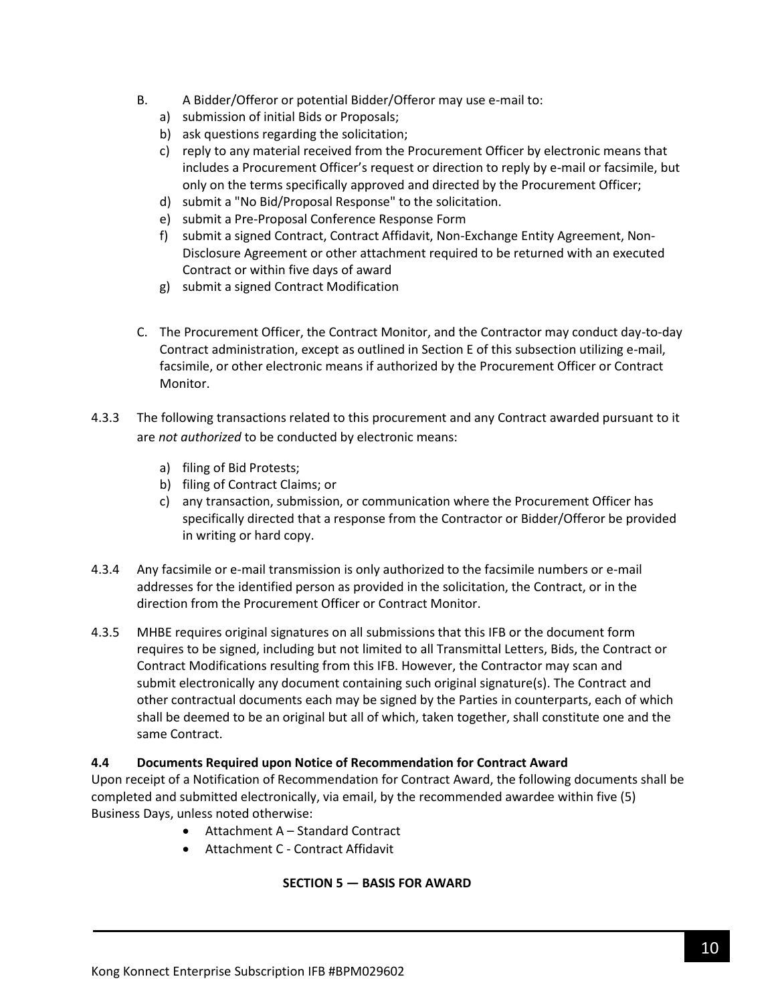- B. A Bidder/Offeror or potential Bidder/Offeror may use e-mail to:
	- a) submission of initial Bids or Proposals;
	- b) ask questions regarding the solicitation;
	- c) reply to any material received from the Procurement Officer by electronic means that includes a Procurement Officer's request or direction to reply by e-mail or facsimile, but only on the terms specifically approved and directed by the Procurement Officer;
	- d) submit a "No Bid/Proposal Response" to the solicitation.
	- e) submit a Pre-Proposal Conference Response Form
	- f) submit a signed Contract, Contract Affidavit, Non-Exchange Entity Agreement, Non-Disclosure Agreement or other attachment required to be returned with an executed Contract or within five days of award
	- g) submit a signed Contract Modification
- C. The Procurement Officer, the Contract Monitor, and the Contractor may conduct day-to-day Contract administration, except as outlined in Section E of this subsection utilizing e-mail, facsimile, or other electronic means if authorized by the Procurement Officer or Contract Monitor.
- 4.3.3 The following transactions related to this procurement and any Contract awarded pursuant to it are *not authorized* to be conducted by electronic means:
	- a) filing of Bid Protests;
	- b) filing of Contract Claims; or
	- c) any transaction, submission, or communication where the Procurement Officer has specifically directed that a response from the Contractor or Bidder/Offeror be provided in writing or hard copy.
- 4.3.4 Any facsimile or e-mail transmission is only authorized to the facsimile numbers or e-mail addresses for the identified person as provided in the solicitation, the Contract, or in the direction from the Procurement Officer or Contract Monitor.
- 4.3.5 MHBE requires original signatures on all submissions that this IFB or the document form requires to be signed, including but not limited to all Transmittal Letters, Bids, the Contract or Contract Modifications resulting from this IFB. However, the Contractor may scan and submit electronically any document containing such original signature(s). The Contract and other contractual documents each may be signed by the Parties in counterparts, each of which shall be deemed to be an original but all of which, taken together, shall constitute one and the same Contract.

# **4.4 Documents Required upon Notice of Recommendation for Contract Award**

Upon receipt of a Notification of Recommendation for Contract Award, the following documents shall be completed and submitted electronically, via email, by the recommended awardee within five (5) Business Days, unless noted otherwise:

- Attachment A Standard Contract
- <span id="page-9-0"></span>• Attachment C - Contract Affidavit

# **SECTION 5 — BASIS FOR AWARD**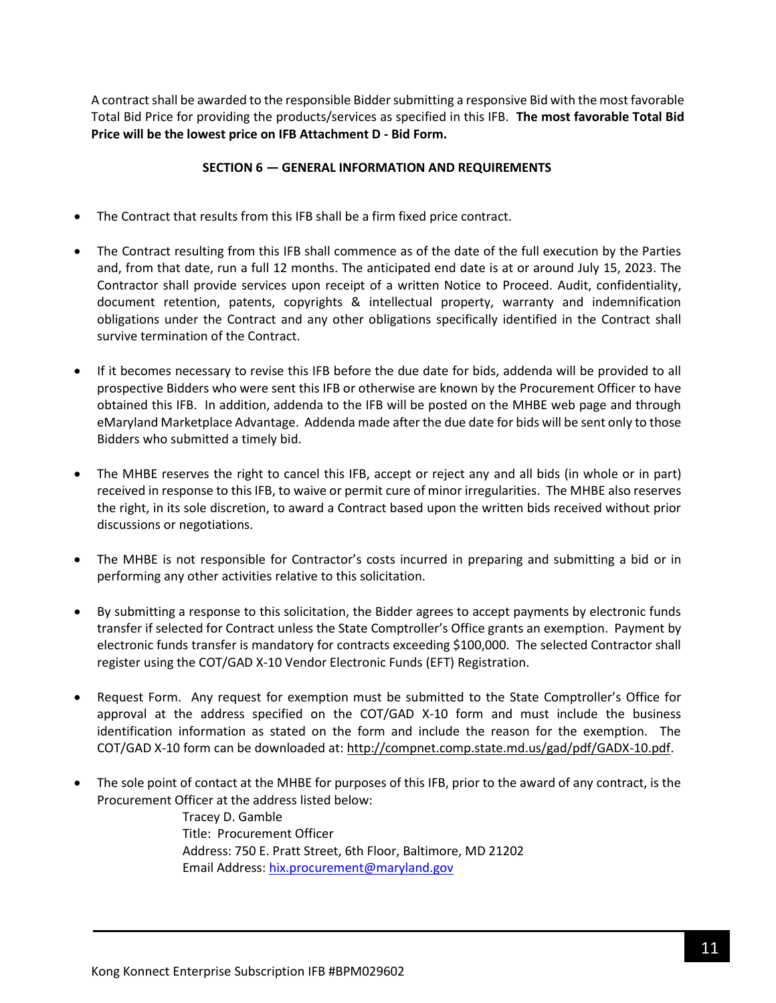A contract shall be awarded to the responsible Bidder submitting a responsive Bid with the most favorable Total Bid Price for providing the products/services as specified in this IFB. **The most favorable Total Bid Price will be the lowest price on IFB Attachment D - Bid Form.**

# **SECTION 6 — GENERAL INFORMATION AND REQUIREMENTS**

- <span id="page-10-0"></span>• The Contract that results from this IFB shall be a firm fixed price contract.
- The Contract resulting from this IFB shall commence as of the date of the full execution by the Parties and, from that date, run a full 12 months. The anticipated end date is at or around July 15, 2023. The Contractor shall provide services upon receipt of a written Notice to Proceed. Audit, confidentiality, document retention, patents, copyrights & intellectual property, warranty and indemnification obligations under the Contract and any other obligations specifically identified in the Contract shall survive termination of the Contract.
- If it becomes necessary to revise this IFB before the due date for bids, addenda will be provided to all prospective Bidders who were sent this IFB or otherwise are known by the Procurement Officer to have obtained this IFB. In addition, addenda to the IFB will be posted on the MHBE web page and through eMaryland Marketplace Advantage. Addenda made after the due date for bids will be sent only to those Bidders who submitted a timely bid.
- The MHBE reserves the right to cancel this IFB, accept or reject any and all bids (in whole or in part) received in response to this IFB, to waive or permit cure of minor irregularities. The MHBE also reserves the right, in its sole discretion, to award a Contract based upon the written bids received without prior discussions or negotiations.
- The MHBE is not responsible for Contractor's costs incurred in preparing and submitting a bid or in performing any other activities relative to this solicitation.
- By submitting a response to this solicitation, the Bidder agrees to accept payments by electronic funds transfer if selected for Contract unless the State Comptroller's Office grants an exemption. Payment by electronic funds transfer is mandatory for contracts exceeding \$100,000. The selected Contractor shall register using the COT/GAD X-10 Vendor Electronic Funds (EFT) Registration.
- Request Form. Any request for exemption must be submitted to the State Comptroller's Office for approval at the address specified on the COT/GAD X-10 form and must include the business identification information as stated on the form and include the reason for the exemption. The COT/GAD X-10 form can be downloaded at[: http://compnet.comp.state.md.us/gad/pdf/GADX-10.pdf.](http://compnet.comp.state.md.us/gad/pdf/GADX-10.pdf)
- The sole point of contact at the MHBE for purposes of this IFB, prior to the award of any contract, is the Procurement Officer at the address listed below:

Tracey D. Gamble Title: Procurement Officer Address: 750 E. Pratt Street, 6th Floor, Baltimore, MD 21202 Email Address: [hix.procurement@maryland.gov](mailto:hix.procurement@maryland.gov)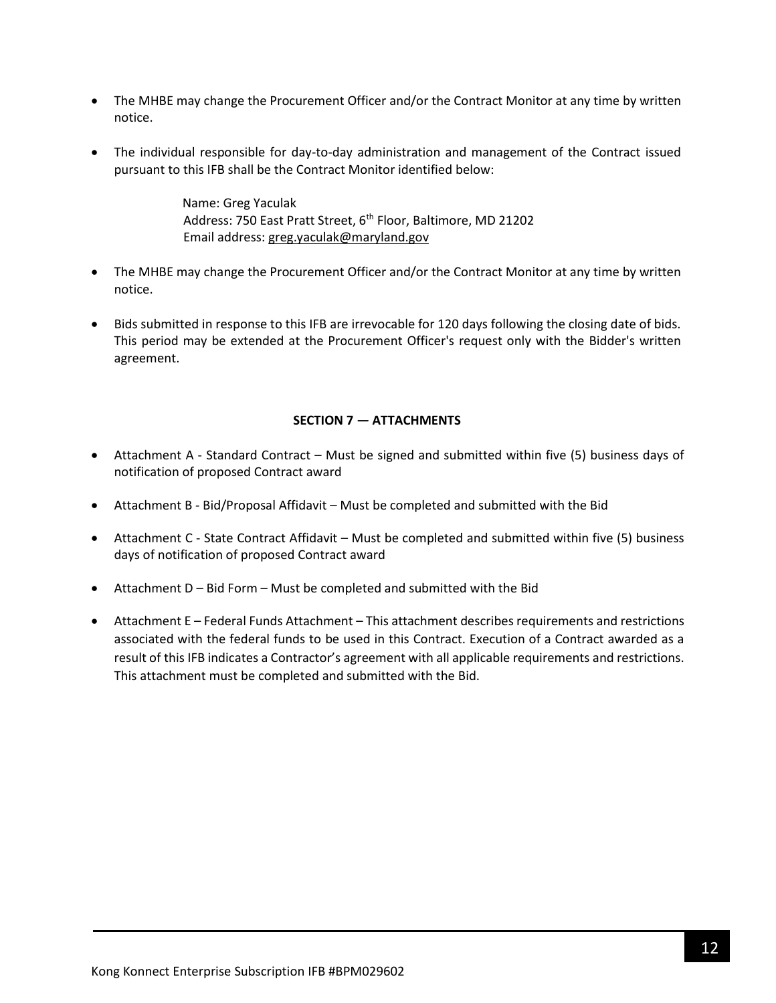- The MHBE may change the Procurement Officer and/or the Contract Monitor at any time by written notice.
- The individual responsible for day-to-day administration and management of the Contract issued pursuant to this IFB shall be the Contract Monitor identified below:

Name: Greg Yaculak Address: 750 East Pratt Street, 6<sup>th</sup> Floor, Baltimore, MD 21202 Email address: [greg.yaculak@maryland.gov](mailto:greg.yaculak@maryland.gov) 

- The MHBE may change the Procurement Officer and/or the Contract Monitor at any time by written notice.
- Bids submitted in response to this IFB are irrevocable for 120 days following the closing date of bids. This period may be extended at the Procurement Officer's request only with the Bidder's written agreement.

# **SECTION 7 — ATTACHMENTS**

- <span id="page-11-0"></span>• Attachment A - Standard Contract – Must be signed and submitted within five (5) business days of notification of proposed Contract award
- Attachment B Bid/Proposal Affidavit Must be completed and submitted with the Bid
- Attachment C State Contract Affidavit Must be completed and submitted within five (5) business days of notification of proposed Contract award
- Attachment D Bid Form Must be completed and submitted with the Bid
- Attachment E Federal Funds Attachment This attachment describes requirements and restrictions associated with the federal funds to be used in this Contract. Execution of a Contract awarded as a result of this IFB indicates a Contractor's agreement with all applicable requirements and restrictions. This attachment must be completed and submitted with the Bid.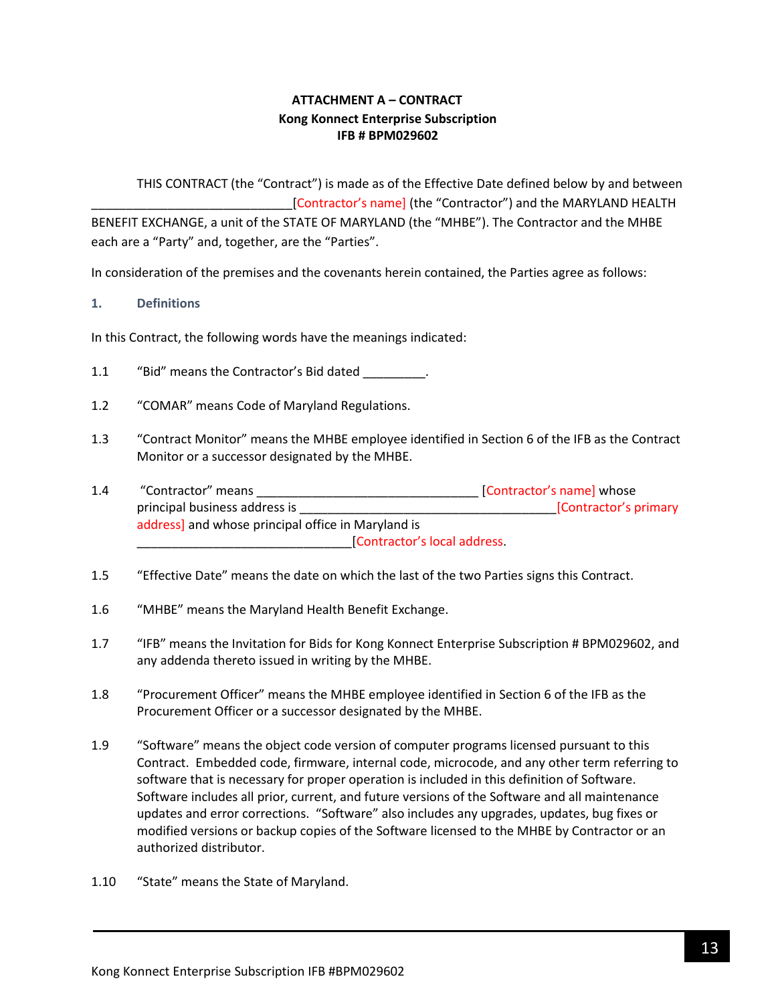# **ATTACHMENT A – CONTRACT Kong Konnect Enterprise Subscription IFB # BPM029602**

<span id="page-12-0"></span>THIS CONTRACT (the "Contract") is made as of the Effective Date defined below by and between [Contractor's name] (the "Contractor") and the MARYLAND HEALTH BENEFIT EXCHANGE, a unit of the STATE OF MARYLAND (the "MHBE"). The Contractor and the MHBE each are a "Party" and, together, are the "Parties".

In consideration of the premises and the covenants herein contained, the Parties agree as follows:

### **1. Definitions**

In this Contract, the following words have the meanings indicated:

- 1.1 "Bid" means the Contractor's Bid dated \_\_\_\_\_\_\_\_.
- 1.2 "COMAR" means Code of Maryland Regulations.
- 1.3 "Contract Monitor" means the MHBE employee identified in Section 6 of the IFB as the Contract Monitor or a successor designated by the MHBE.
- 1.4 "Contractor" means \_\_\_\_\_\_\_\_\_\_\_\_\_\_\_\_\_\_\_\_\_\_\_\_\_\_\_\_\_\_\_\_ [Contractor's name] whose principal business address is \_\_\_\_\_\_\_\_\_\_\_\_\_\_\_\_\_\_\_\_\_\_\_\_\_\_\_\_\_\_\_\_\_\_\_\_\_[Contractor's primary address] and whose principal office in Maryland is \_\_\_\_\_\_\_\_\_\_\_\_\_\_\_\_\_\_\_\_\_\_\_\_\_\_\_\_\_\_\_[Contractor's local address.
- 1.5 "Effective Date" means the date on which the last of the two Parties signs this Contract.
- 1.6 "MHBE" means the Maryland Health Benefit Exchange.
- 1.7 "IFB" means the Invitation for Bids for Kong Konnect Enterprise Subscription # BPM029602, and any addenda thereto issued in writing by the MHBE.
- 1.8 "Procurement Officer" means the MHBE employee identified in Section 6 of the IFB as the Procurement Officer or a successor designated by the MHBE.
- 1.9 "Software" means the object code version of computer programs licensed pursuant to this Contract. Embedded code, firmware, internal code, microcode, and any other term referring to software that is necessary for proper operation is included in this definition of Software. Software includes all prior, current, and future versions of the Software and all maintenance updates and error corrections. "Software" also includes any upgrades, updates, bug fixes or modified versions or backup copies of the Software licensed to the MHBE by Contractor or an authorized distributor.
- 1.10 "State" means the State of Maryland.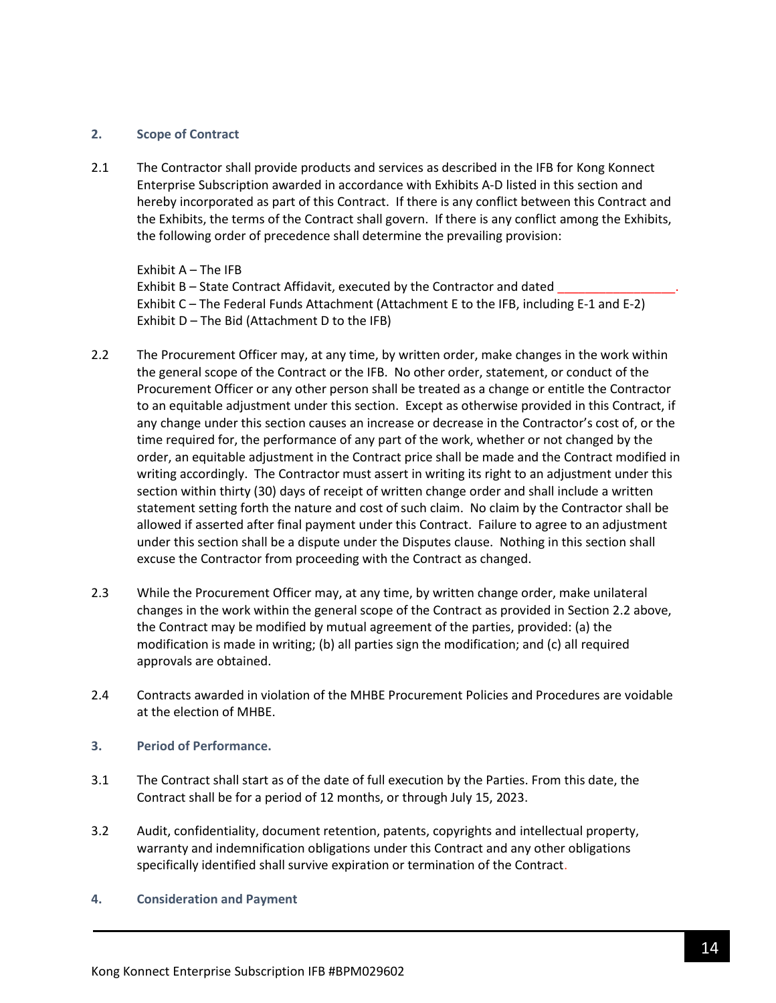#### **2. Scope of Contract**

2.1 The Contractor shall provide products and services as described in the IFB for Kong Konnect Enterprise Subscription awarded in accordance with Exhibits A-D listed in this section and hereby incorporated as part of this Contract. If there is any conflict between this Contract and the Exhibits, the terms of the Contract shall govern. If there is any conflict among the Exhibits, the following order of precedence shall determine the prevailing provision:

Exhibit A – The IFB Exhibit B – State Contract Affidavit, executed by the Contractor and dated Exhibit C – The Federal Funds Attachment (Attachment E to the IFB, including E-1 and E-2) Exhibit D – The Bid (Attachment D to the IFB)

- 2.2 The Procurement Officer may, at any time, by written order, make changes in the work within the general scope of the Contract or the IFB. No other order, statement, or conduct of the Procurement Officer or any other person shall be treated as a change or entitle the Contractor to an equitable adjustment under this section. Except as otherwise provided in this Contract, if any change under this section causes an increase or decrease in the Contractor's cost of, or the time required for, the performance of any part of the work, whether or not changed by the order, an equitable adjustment in the Contract price shall be made and the Contract modified in writing accordingly. The Contractor must assert in writing its right to an adjustment under this section within thirty (30) days of receipt of written change order and shall include a written statement setting forth the nature and cost of such claim. No claim by the Contractor shall be allowed if asserted after final payment under this Contract. Failure to agree to an adjustment under this section shall be a dispute under the Disputes clause. Nothing in this section shall excuse the Contractor from proceeding with the Contract as changed.
- 2.3 While the Procurement Officer may, at any time, by written change order, make unilateral changes in the work within the general scope of the Contract as provided in Section 2.2 above, the Contract may be modified by mutual agreement of the parties, provided: (a) the modification is made in writing; (b) all parties sign the modification; and (c) all required approvals are obtained.
- 2.4 Contracts awarded in violation of the MHBE Procurement Policies and Procedures are voidable at the election of MHBE.
- **3. Period of Performance.**
- 3.1 The Contract shall start as of the date of full execution by the Parties. From this date, the Contract shall be for a period of 12 months, or through July 15, 2023.
- 3.2 Audit, confidentiality, document retention, patents, copyrights and intellectual property, warranty and indemnification obligations under this Contract and any other obligations specifically identified shall survive expiration or termination of the Contract.
- **4. Consideration and Payment**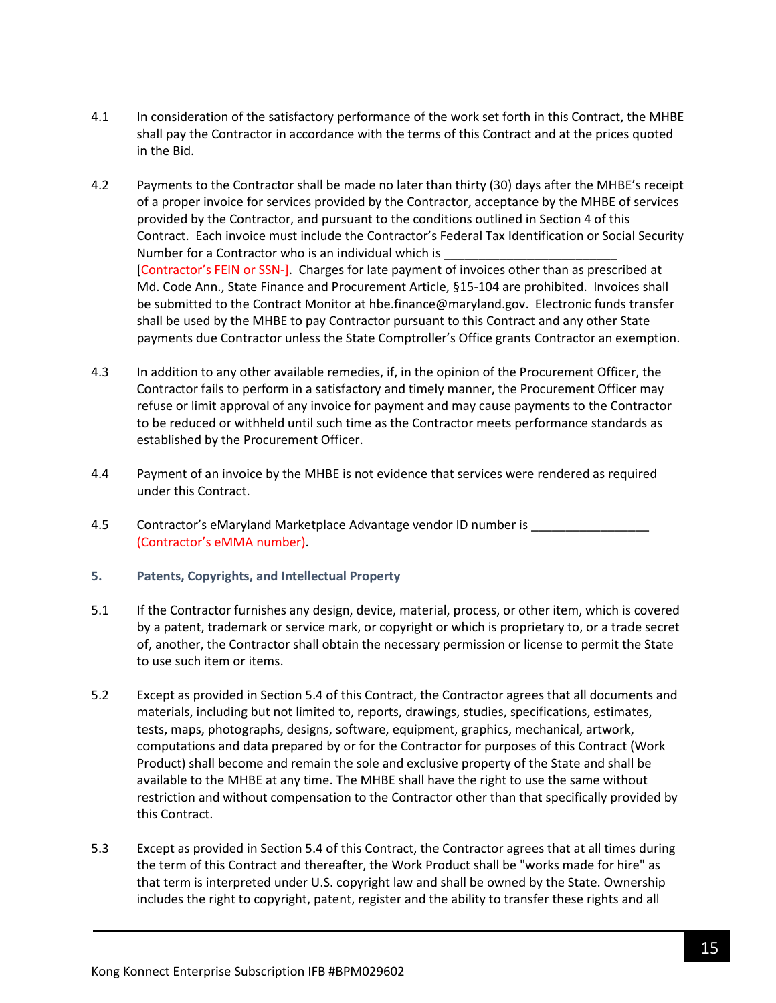- 4.1 In consideration of the satisfactory performance of the work set forth in this Contract, the MHBE shall pay the Contractor in accordance with the terms of this Contract and at the prices quoted in the Bid.
- 4.2 Payments to the Contractor shall be made no later than thirty (30) days after the MHBE's receipt of a proper invoice for services provided by the Contractor, acceptance by the MHBE of services provided by the Contractor, and pursuant to the conditions outlined in Section 4 of this Contract. Each invoice must include the Contractor's Federal Tax Identification or Social Security Number for a Contractor who is an individual which is [Contractor's FEIN or SSN-]. Charges for late payment of invoices other than as prescribed at Md. Code Ann., State Finance and Procurement Article, §15-104 are prohibited. Invoices shall be submitted to the Contract Monitor at hbe.finance@maryland.gov. Electronic funds transfer shall be used by the MHBE to pay Contractor pursuant to this Contract and any other State payments due Contractor unless the State Comptroller's Office grants Contractor an exemption.
- 4.3 In addition to any other available remedies, if, in the opinion of the Procurement Officer, the Contractor fails to perform in a satisfactory and timely manner, the Procurement Officer may refuse or limit approval of any invoice for payment and may cause payments to the Contractor to be reduced or withheld until such time as the Contractor meets performance standards as established by the Procurement Officer.
- 4.4 Payment of an invoice by the MHBE is not evidence that services were rendered as required under this Contract.
- 4.5 Contractor's eMaryland Marketplace Advantage vendor ID number is \_\_\_\_\_\_\_\_\_\_\_ (Contractor's eMMA number).
- **5. Patents, Copyrights, and Intellectual Property**
- 5.1 If the Contractor furnishes any design, device, material, process, or other item, which is covered by a patent, trademark or service mark, or copyright or which is proprietary to, or a trade secret of, another, the Contractor shall obtain the necessary permission or license to permit the State to use such item or items.
- 5.2 Except as provided in Section 5.4 of this Contract, the Contractor agrees that all documents and materials, including but not limited to, reports, drawings, studies, specifications, estimates, tests, maps, photographs, designs, software, equipment, graphics, mechanical, artwork, computations and data prepared by or for the Contractor for purposes of this Contract (Work Product) shall become and remain the sole and exclusive property of the State and shall be available to the MHBE at any time. The MHBE shall have the right to use the same without restriction and without compensation to the Contractor other than that specifically provided by this Contract.
- 5.3 Except as provided in Section 5.4 of this Contract, the Contractor agrees that at all times during the term of this Contract and thereafter, the Work Product shall be "works made for hire" as that term is interpreted under U.S. copyright law and shall be owned by the State. Ownership includes the right to copyright, patent, register and the ability to transfer these rights and all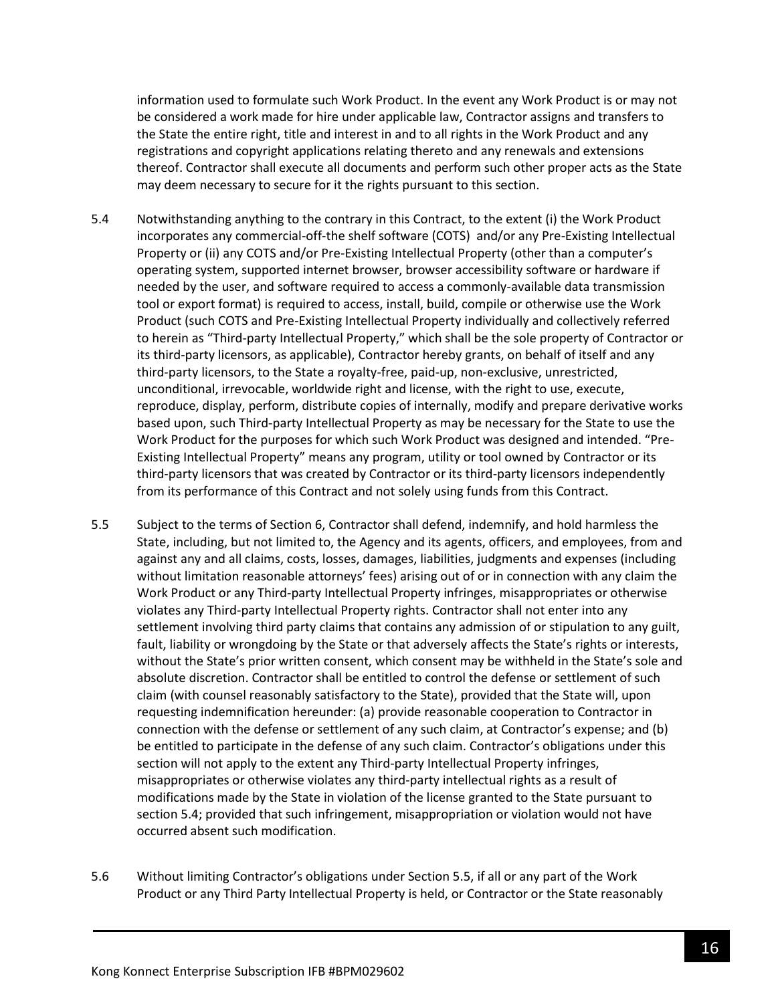information used to formulate such Work Product. In the event any Work Product is or may not be considered a work made for hire under applicable law, Contractor assigns and transfers to the State the entire right, title and interest in and to all rights in the Work Product and any registrations and copyright applications relating thereto and any renewals and extensions thereof. Contractor shall execute all documents and perform such other proper acts as the State may deem necessary to secure for it the rights pursuant to this section.

- 5.4 Notwithstanding anything to the contrary in this Contract, to the extent (i) the Work Product incorporates any commercial-off-the shelf software (COTS) and/or any Pre-Existing Intellectual Property or (ii) any COTS and/or Pre-Existing Intellectual Property (other than a computer's operating system, supported internet browser, browser accessibility software or hardware if needed by the user, and software required to access a commonly-available data transmission tool or export format) is required to access, install, build, compile or otherwise use the Work Product (such COTS and Pre-Existing Intellectual Property individually and collectively referred to herein as "Third-party Intellectual Property," which shall be the sole property of Contractor or its third-party licensors, as applicable), Contractor hereby grants, on behalf of itself and any third-party licensors, to the State a royalty-free, paid-up, non-exclusive, unrestricted, unconditional, irrevocable, worldwide right and license, with the right to use, execute, reproduce, display, perform, distribute copies of internally, modify and prepare derivative works based upon, such Third-party Intellectual Property as may be necessary for the State to use the Work Product for the purposes for which such Work Product was designed and intended. "Pre-Existing Intellectual Property" means any program, utility or tool owned by Contractor or its third-party licensors that was created by Contractor or its third-party licensors independently from its performance of this Contract and not solely using funds from this Contract.
- 5.5 Subject to the terms of Section 6, Contractor shall defend, indemnify, and hold harmless the State, including, but not limited to, the Agency and its agents, officers, and employees, from and against any and all claims, costs, losses, damages, liabilities, judgments and expenses (including without limitation reasonable attorneys' fees) arising out of or in connection with any claim the Work Product or any Third-party Intellectual Property infringes, misappropriates or otherwise violates any Third-party Intellectual Property rights. Contractor shall not enter into any settlement involving third party claims that contains any admission of or stipulation to any guilt, fault, liability or wrongdoing by the State or that adversely affects the State's rights or interests, without the State's prior written consent, which consent may be withheld in the State's sole and absolute discretion. Contractor shall be entitled to control the defense or settlement of such claim (with counsel reasonably satisfactory to the State), provided that the State will, upon requesting indemnification hereunder: (a) provide reasonable cooperation to Contractor in connection with the defense or settlement of any such claim, at Contractor's expense; and (b) be entitled to participate in the defense of any such claim. Contractor's obligations under this section will not apply to the extent any Third-party Intellectual Property infringes, misappropriates or otherwise violates any third-party intellectual rights as a result of modifications made by the State in violation of the license granted to the State pursuant to section 5.4; provided that such infringement, misappropriation or violation would not have occurred absent such modification.
- 5.6 Without limiting Contractor's obligations under Section 5.5, if all or any part of the Work Product or any Third Party Intellectual Property is held, or Contractor or the State reasonably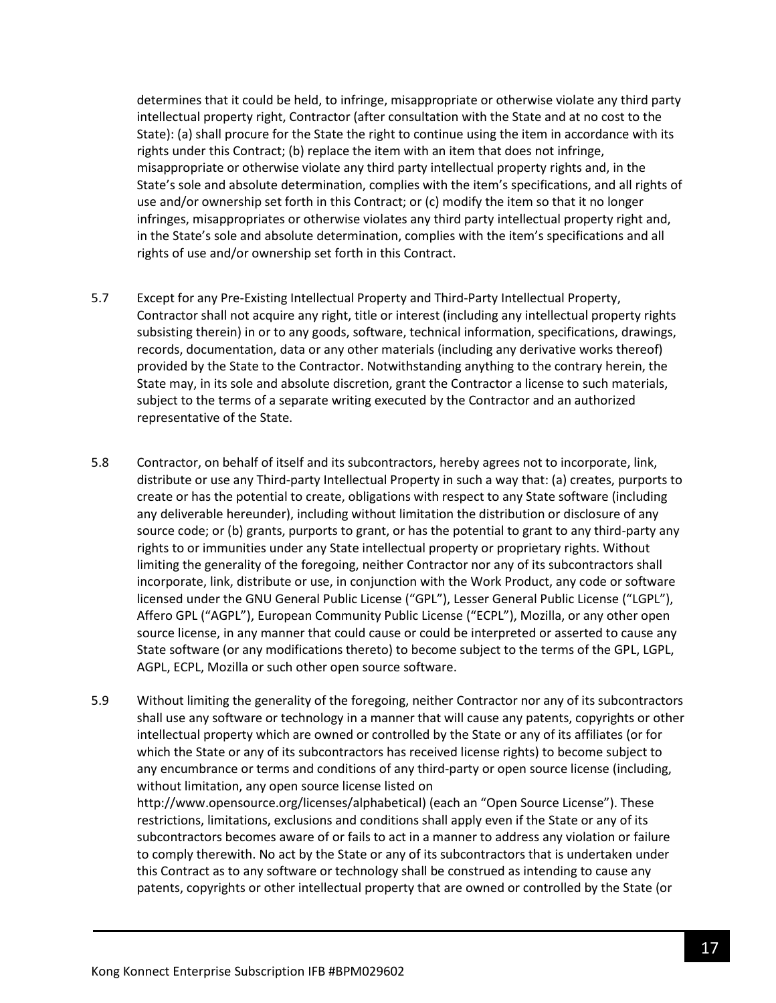determines that it could be held, to infringe, misappropriate or otherwise violate any third party intellectual property right, Contractor (after consultation with the State and at no cost to the State): (a) shall procure for the State the right to continue using the item in accordance with its rights under this Contract; (b) replace the item with an item that does not infringe, misappropriate or otherwise violate any third party intellectual property rights and, in the State's sole and absolute determination, complies with the item's specifications, and all rights of use and/or ownership set forth in this Contract; or (c) modify the item so that it no longer infringes, misappropriates or otherwise violates any third party intellectual property right and, in the State's sole and absolute determination, complies with the item's specifications and all rights of use and/or ownership set forth in this Contract.

- 5.7 Except for any Pre-Existing Intellectual Property and Third-Party Intellectual Property, Contractor shall not acquire any right, title or interest (including any intellectual property rights subsisting therein) in or to any goods, software, technical information, specifications, drawings, records, documentation, data or any other materials (including any derivative works thereof) provided by the State to the Contractor. Notwithstanding anything to the contrary herein, the State may, in its sole and absolute discretion, grant the Contractor a license to such materials, subject to the terms of a separate writing executed by the Contractor and an authorized representative of the State.
- 5.8 Contractor, on behalf of itself and its subcontractors, hereby agrees not to incorporate, link, distribute or use any Third-party Intellectual Property in such a way that: (a) creates, purports to create or has the potential to create, obligations with respect to any State software (including any deliverable hereunder), including without limitation the distribution or disclosure of any source code; or (b) grants, purports to grant, or has the potential to grant to any third-party any rights to or immunities under any State intellectual property or proprietary rights. Without limiting the generality of the foregoing, neither Contractor nor any of its subcontractors shall incorporate, link, distribute or use, in conjunction with the Work Product, any code or software licensed under the GNU General Public License ("GPL"), Lesser General Public License ("LGPL"), Affero GPL ("AGPL"), European Community Public License ("ECPL"), Mozilla, or any other open source license, in any manner that could cause or could be interpreted or asserted to cause any State software (or any modifications thereto) to become subject to the terms of the GPL, LGPL, AGPL, ECPL, Mozilla or such other open source software.
- 5.9 Without limiting the generality of the foregoing, neither Contractor nor any of its subcontractors shall use any software or technology in a manner that will cause any patents, copyrights or other intellectual property which are owned or controlled by the State or any of its affiliates (or for which the State or any of its subcontractors has received license rights) to become subject to any encumbrance or terms and conditions of any third-party or open source license (including, without limitation, any open source license listed on http://www.opensource.org/licenses/alphabetical) (each an "Open Source License"). These restrictions, limitations, exclusions and conditions shall apply even if the State or any of its subcontractors becomes aware of or fails to act in a manner to address any violation or failure to comply therewith. No act by the State or any of its subcontractors that is undertaken under this Contract as to any software or technology shall be construed as intending to cause any patents, copyrights or other intellectual property that are owned or controlled by the State (or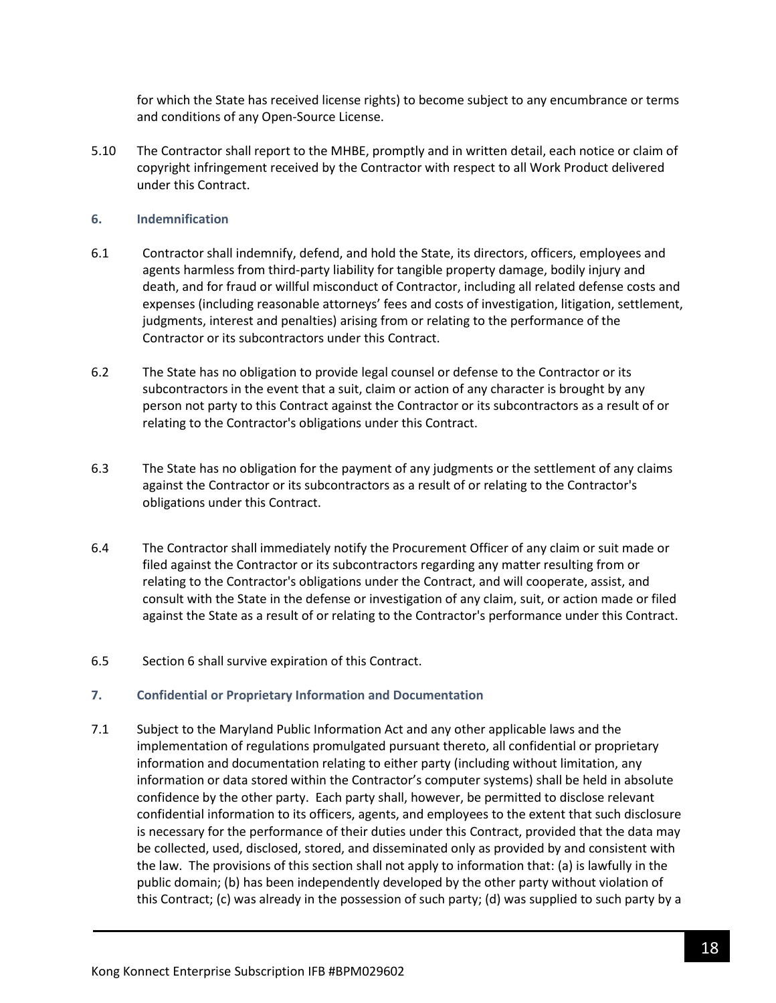for which the State has received license rights) to become subject to any encumbrance or terms and conditions of any Open-Source License.

5.10 The Contractor shall report to the MHBE, promptly and in written detail, each notice or claim of copyright infringement received by the Contractor with respect to all Work Product delivered under this Contract.

#### **6. Indemnification**

- 6.1 Contractor shall indemnify, defend, and hold the State, its directors, officers, employees and agents harmless from third-party liability for tangible property damage, bodily injury and death, and for fraud or willful misconduct of Contractor, including all related defense costs and expenses (including reasonable attorneys' fees and costs of investigation, litigation, settlement, judgments, interest and penalties) arising from or relating to the performance of the Contractor or its subcontractors under this Contract.
- 6.2 The State has no obligation to provide legal counsel or defense to the Contractor or its subcontractors in the event that a suit, claim or action of any character is brought by any person not party to this Contract against the Contractor or its subcontractors as a result of or relating to the Contractor's obligations under this Contract.
- 6.3 The State has no obligation for the payment of any judgments or the settlement of any claims against the Contractor or its subcontractors as a result of or relating to the Contractor's obligations under this Contract.
- 6.4 The Contractor shall immediately notify the Procurement Officer of any claim or suit made or filed against the Contractor or its subcontractors regarding any matter resulting from or relating to the Contractor's obligations under the Contract, and will cooperate, assist, and consult with the State in the defense or investigation of any claim, suit, or action made or filed against the State as a result of or relating to the Contractor's performance under this Contract.
- 6.5 Section 6 shall survive expiration of this Contract.

#### **7. Confidential or Proprietary Information and Documentation**

7.1 Subject to the Maryland Public Information Act and any other applicable laws and the implementation of regulations promulgated pursuant thereto, all confidential or proprietary information and documentation relating to either party (including without limitation, any information or data stored within the Contractor's computer systems) shall be held in absolute confidence by the other party. Each party shall, however, be permitted to disclose relevant confidential information to its officers, agents, and employees to the extent that such disclosure is necessary for the performance of their duties under this Contract, provided that the data may be collected, used, disclosed, stored, and disseminated only as provided by and consistent with the law. The provisions of this section shall not apply to information that: (a) is lawfully in the public domain; (b) has been independently developed by the other party without violation of this Contract; (c) was already in the possession of such party; (d) was supplied to such party by a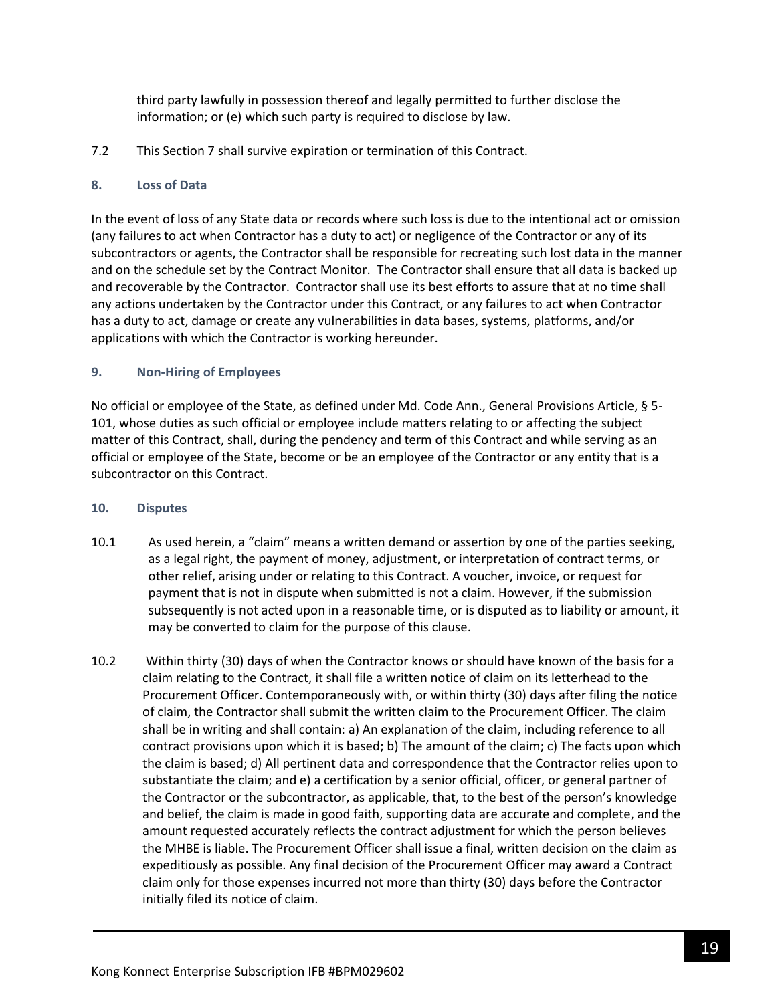third party lawfully in possession thereof and legally permitted to further disclose the information; or (e) which such party is required to disclose by law.

7.2 This Section 7 shall survive expiration or termination of this Contract.

# **8. Loss of Data**

In the event of loss of any State data or records where such loss is due to the intentional act or omission (any failures to act when Contractor has a duty to act) or negligence of the Contractor or any of its subcontractors or agents, the Contractor shall be responsible for recreating such lost data in the manner and on the schedule set by the Contract Monitor. The Contractor shall ensure that all data is backed up and recoverable by the Contractor. Contractor shall use its best efforts to assure that at no time shall any actions undertaken by the Contractor under this Contract, or any failures to act when Contractor has a duty to act, damage or create any vulnerabilities in data bases, systems, platforms, and/or applications with which the Contractor is working hereunder.

# **9. Non-Hiring of Employees**

No official or employee of the State, as defined under Md. Code Ann., General Provisions Article, § 5- 101, whose duties as such official or employee include matters relating to or affecting the subject matter of this Contract, shall, during the pendency and term of this Contract and while serving as an official or employee of the State, become or be an employee of the Contractor or any entity that is a subcontractor on this Contract.

### **10. Disputes**

- 10.1 As used herein, a "claim" means a written demand or assertion by one of the parties seeking, as a legal right, the payment of money, adjustment, or interpretation of contract terms, or other relief, arising under or relating to this Contract. A voucher, invoice, or request for payment that is not in dispute when submitted is not a claim. However, if the submission subsequently is not acted upon in a reasonable time, or is disputed as to liability or amount, it may be converted to claim for the purpose of this clause.
- 10.2 Within thirty (30) days of when the Contractor knows or should have known of the basis for a claim relating to the Contract, it shall file a written notice of claim on its letterhead to the Procurement Officer. Contemporaneously with, or within thirty (30) days after filing the notice of claim, the Contractor shall submit the written claim to the Procurement Officer. The claim shall be in writing and shall contain: a) An explanation of the claim, including reference to all contract provisions upon which it is based; b) The amount of the claim; c) The facts upon which the claim is based; d) All pertinent data and correspondence that the Contractor relies upon to substantiate the claim; and e) a certification by a senior official, officer, or general partner of the Contractor or the subcontractor, as applicable, that, to the best of the person's knowledge and belief, the claim is made in good faith, supporting data are accurate and complete, and the amount requested accurately reflects the contract adjustment for which the person believes the MHBE is liable. The Procurement Officer shall issue a final, written decision on the claim as expeditiously as possible. Any final decision of the Procurement Officer may award a Contract claim only for those expenses incurred not more than thirty (30) days before the Contractor initially filed its notice of claim.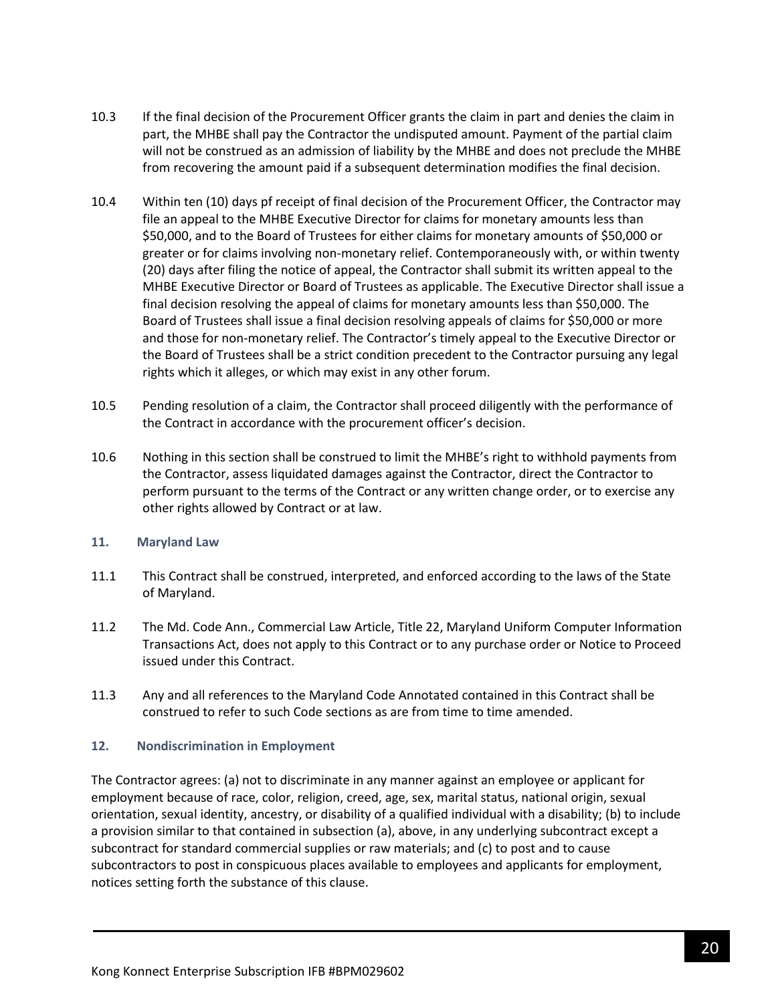- 10.3 If the final decision of the Procurement Officer grants the claim in part and denies the claim in part, the MHBE shall pay the Contractor the undisputed amount. Payment of the partial claim will not be construed as an admission of liability by the MHBE and does not preclude the MHBE from recovering the amount paid if a subsequent determination modifies the final decision.
- 10.4 Within ten (10) days pf receipt of final decision of the Procurement Officer, the Contractor may file an appeal to the MHBE Executive Director for claims for monetary amounts less than \$50,000, and to the Board of Trustees for either claims for monetary amounts of \$50,000 or greater or for claims involving non-monetary relief. Contemporaneously with, or within twenty (20) days after filing the notice of appeal, the Contractor shall submit its written appeal to the MHBE Executive Director or Board of Trustees as applicable. The Executive Director shall issue a final decision resolving the appeal of claims for monetary amounts less than \$50,000. The Board of Trustees shall issue a final decision resolving appeals of claims for \$50,000 or more and those for non-monetary relief. The Contractor's timely appeal to the Executive Director or the Board of Trustees shall be a strict condition precedent to the Contractor pursuing any legal rights which it alleges, or which may exist in any other forum.
- 10.5 Pending resolution of a claim, the Contractor shall proceed diligently with the performance of the Contract in accordance with the procurement officer's decision.
- 10.6 Nothing in this section shall be construed to limit the MHBE's right to withhold payments from the Contractor, assess liquidated damages against the Contractor, direct the Contractor to perform pursuant to the terms of the Contract or any written change order, or to exercise any other rights allowed by Contract or at law.

### **11. Maryland Law**

- 11.1 This Contract shall be construed, interpreted, and enforced according to the laws of the State of Maryland.
- 11.2 The Md. Code Ann., Commercial Law Article, Title 22, Maryland Uniform Computer Information Transactions Act, does not apply to this Contract or to any purchase order or Notice to Proceed issued under this Contract.
- 11.3 Any and all references to the Maryland Code Annotated contained in this Contract shall be construed to refer to such Code sections as are from time to time amended.

### **12. Nondiscrimination in Employment**

The Contractor agrees: (a) not to discriminate in any manner against an employee or applicant for employment because of race, color, religion, creed, age, sex, marital status, national origin, sexual orientation, sexual identity, ancestry, or disability of a qualified individual with a disability; (b) to include a provision similar to that contained in subsection (a), above, in any underlying subcontract except a subcontract for standard commercial supplies or raw materials; and (c) to post and to cause subcontractors to post in conspicuous places available to employees and applicants for employment, notices setting forth the substance of this clause.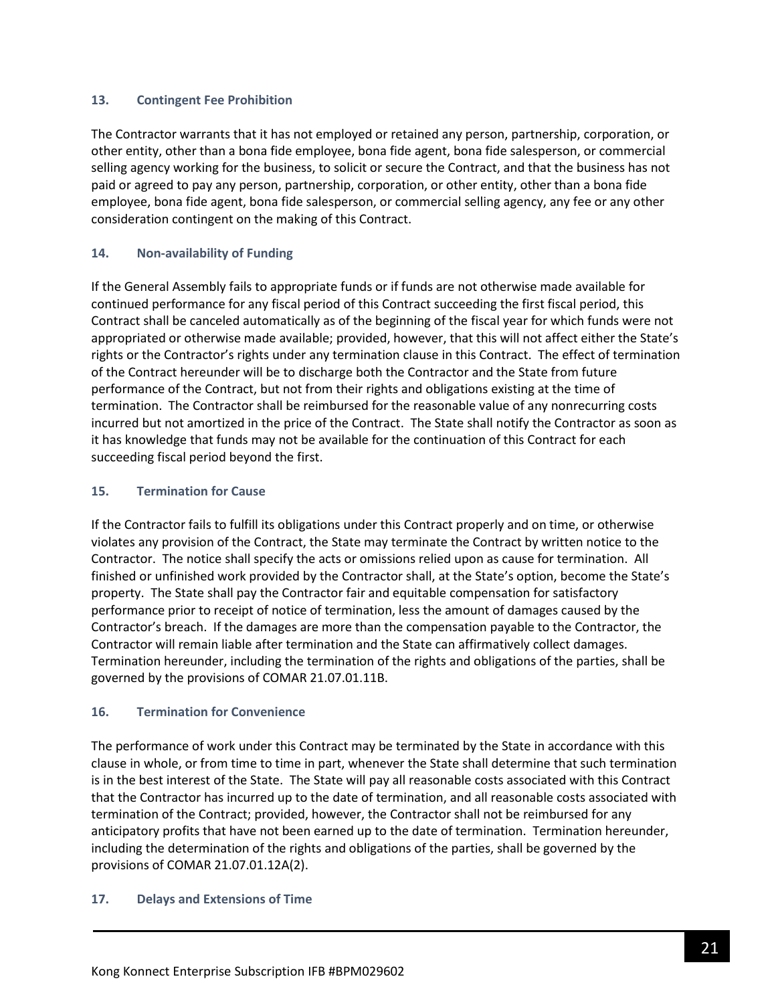### **13. Contingent Fee Prohibition**

The Contractor warrants that it has not employed or retained any person, partnership, corporation, or other entity, other than a bona fide employee, bona fide agent, bona fide salesperson, or commercial selling agency working for the business, to solicit or secure the Contract, and that the business has not paid or agreed to pay any person, partnership, corporation, or other entity, other than a bona fide employee, bona fide agent, bona fide salesperson, or commercial selling agency, any fee or any other consideration contingent on the making of this Contract.

# **14. Non-availability of Funding**

If the General Assembly fails to appropriate funds or if funds are not otherwise made available for continued performance for any fiscal period of this Contract succeeding the first fiscal period, this Contract shall be canceled automatically as of the beginning of the fiscal year for which funds were not appropriated or otherwise made available; provided, however, that this will not affect either the State's rights or the Contractor's rights under any termination clause in this Contract. The effect of termination of the Contract hereunder will be to discharge both the Contractor and the State from future performance of the Contract, but not from their rights and obligations existing at the time of termination. The Contractor shall be reimbursed for the reasonable value of any nonrecurring costs incurred but not amortized in the price of the Contract. The State shall notify the Contractor as soon as it has knowledge that funds may not be available for the continuation of this Contract for each succeeding fiscal period beyond the first.

# **15. Termination for Cause**

If the Contractor fails to fulfill its obligations under this Contract properly and on time, or otherwise violates any provision of the Contract, the State may terminate the Contract by written notice to the Contractor. The notice shall specify the acts or omissions relied upon as cause for termination. All finished or unfinished work provided by the Contractor shall, at the State's option, become the State's property. The State shall pay the Contractor fair and equitable compensation for satisfactory performance prior to receipt of notice of termination, less the amount of damages caused by the Contractor's breach. If the damages are more than the compensation payable to the Contractor, the Contractor will remain liable after termination and the State can affirmatively collect damages. Termination hereunder, including the termination of the rights and obligations of the parties, shall be governed by the provisions of COMAR 21.07.01.11B.

### **16. Termination for Convenience**

The performance of work under this Contract may be terminated by the State in accordance with this clause in whole, or from time to time in part, whenever the State shall determine that such termination is in the best interest of the State. The State will pay all reasonable costs associated with this Contract that the Contractor has incurred up to the date of termination, and all reasonable costs associated with termination of the Contract; provided, however, the Contractor shall not be reimbursed for any anticipatory profits that have not been earned up to the date of termination. Termination hereunder, including the determination of the rights and obligations of the parties, shall be governed by the provisions of COMAR 21.07.01.12A(2).

### **17. Delays and Extensions of Time**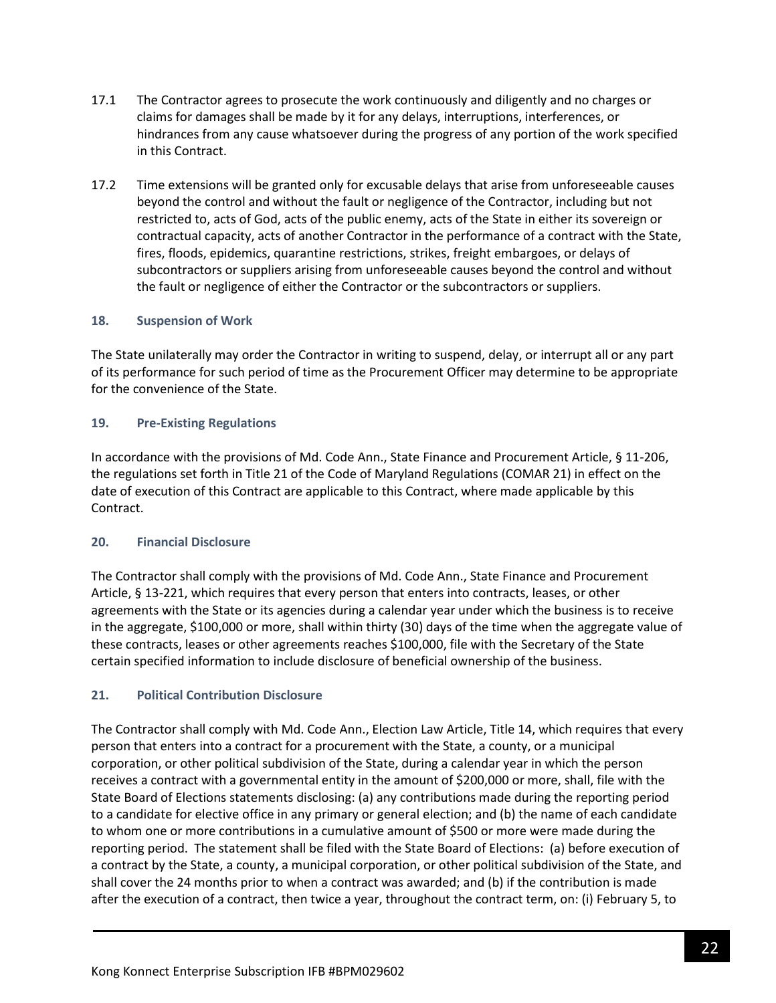- 17.1 The Contractor agrees to prosecute the work continuously and diligently and no charges or claims for damages shall be made by it for any delays, interruptions, interferences, or hindrances from any cause whatsoever during the progress of any portion of the work specified in this Contract.
- 17.2 Time extensions will be granted only for excusable delays that arise from unforeseeable causes beyond the control and without the fault or negligence of the Contractor, including but not restricted to, acts of God, acts of the public enemy, acts of the State in either its sovereign or contractual capacity, acts of another Contractor in the performance of a contract with the State, fires, floods, epidemics, quarantine restrictions, strikes, freight embargoes, or delays of subcontractors or suppliers arising from unforeseeable causes beyond the control and without the fault or negligence of either the Contractor or the subcontractors or suppliers.

# **18. Suspension of Work**

The State unilaterally may order the Contractor in writing to suspend, delay, or interrupt all or any part of its performance for such period of time as the Procurement Officer may determine to be appropriate for the convenience of the State.

# **19. Pre-Existing Regulations**

In accordance with the provisions of Md. Code Ann., State Finance and Procurement Article, § 11-206, the regulations set forth in Title 21 of the Code of Maryland Regulations (COMAR 21) in effect on the date of execution of this Contract are applicable to this Contract, where made applicable by this Contract.

### **20. Financial Disclosure**

The Contractor shall comply with the provisions of Md. Code Ann., State Finance and Procurement Article, § 13-221, which requires that every person that enters into contracts, leases, or other agreements with the State or its agencies during a calendar year under which the business is to receive in the aggregate, \$100,000 or more, shall within thirty (30) days of the time when the aggregate value of these contracts, leases or other agreements reaches \$100,000, file with the Secretary of the State certain specified information to include disclosure of beneficial ownership of the business.

# **21. Political Contribution Disclosure**

The Contractor shall comply with Md. Code Ann., Election Law Article, Title 14, which requires that every person that enters into a contract for a procurement with the State, a county, or a municipal corporation, or other political subdivision of the State, during a calendar year in which the person receives a contract with a governmental entity in the amount of \$200,000 or more, shall, file with the State Board of Elections statements disclosing: (a) any contributions made during the reporting period to a candidate for elective office in any primary or general election; and (b) the name of each candidate to whom one or more contributions in a cumulative amount of \$500 or more were made during the reporting period. The statement shall be filed with the State Board of Elections: (a) before execution of a contract by the State, a county, a municipal corporation, or other political subdivision of the State, and shall cover the 24 months prior to when a contract was awarded; and (b) if the contribution is made after the execution of a contract, then twice a year, throughout the contract term, on: (i) February 5, to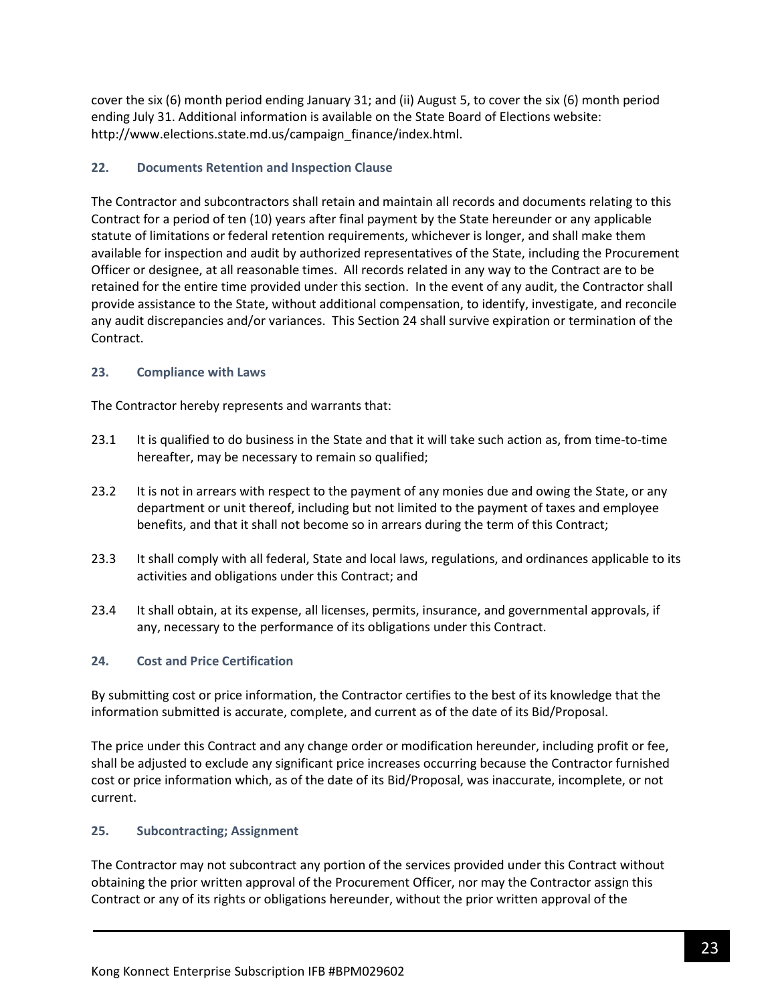cover the six (6) month period ending January 31; and (ii) August 5, to cover the six (6) month period ending July 31. Additional information is available on the State Board of Elections website: http://www.elections.state.md.us/campaign\_finance/index.html.

# **22. Documents Retention and Inspection Clause**

The Contractor and subcontractors shall retain and maintain all records and documents relating to this Contract for a period of ten (10) years after final payment by the State hereunder or any applicable statute of limitations or federal retention requirements, whichever is longer, and shall make them available for inspection and audit by authorized representatives of the State, including the Procurement Officer or designee, at all reasonable times. All records related in any way to the Contract are to be retained for the entire time provided under this section. In the event of any audit, the Contractor shall provide assistance to the State, without additional compensation, to identify, investigate, and reconcile any audit discrepancies and/or variances. This Section 24 shall survive expiration or termination of the Contract.

### **23. Compliance with Laws**

The Contractor hereby represents and warrants that:

- 23.1 It is qualified to do business in the State and that it will take such action as, from time-to-time hereafter, may be necessary to remain so qualified;
- 23.2 It is not in arrears with respect to the payment of any monies due and owing the State, or any department or unit thereof, including but not limited to the payment of taxes and employee benefits, and that it shall not become so in arrears during the term of this Contract;
- 23.3 It shall comply with all federal, State and local laws, regulations, and ordinances applicable to its activities and obligations under this Contract; and
- 23.4 It shall obtain, at its expense, all licenses, permits, insurance, and governmental approvals, if any, necessary to the performance of its obligations under this Contract.

# **24. Cost and Price Certification**

By submitting cost or price information, the Contractor certifies to the best of its knowledge that the information submitted is accurate, complete, and current as of the date of its Bid/Proposal.

The price under this Contract and any change order or modification hereunder, including profit or fee, shall be adjusted to exclude any significant price increases occurring because the Contractor furnished cost or price information which, as of the date of its Bid/Proposal, was inaccurate, incomplete, or not current.

### **25. Subcontracting; Assignment**

The Contractor may not subcontract any portion of the services provided under this Contract without obtaining the prior written approval of the Procurement Officer, nor may the Contractor assign this Contract or any of its rights or obligations hereunder, without the prior written approval of the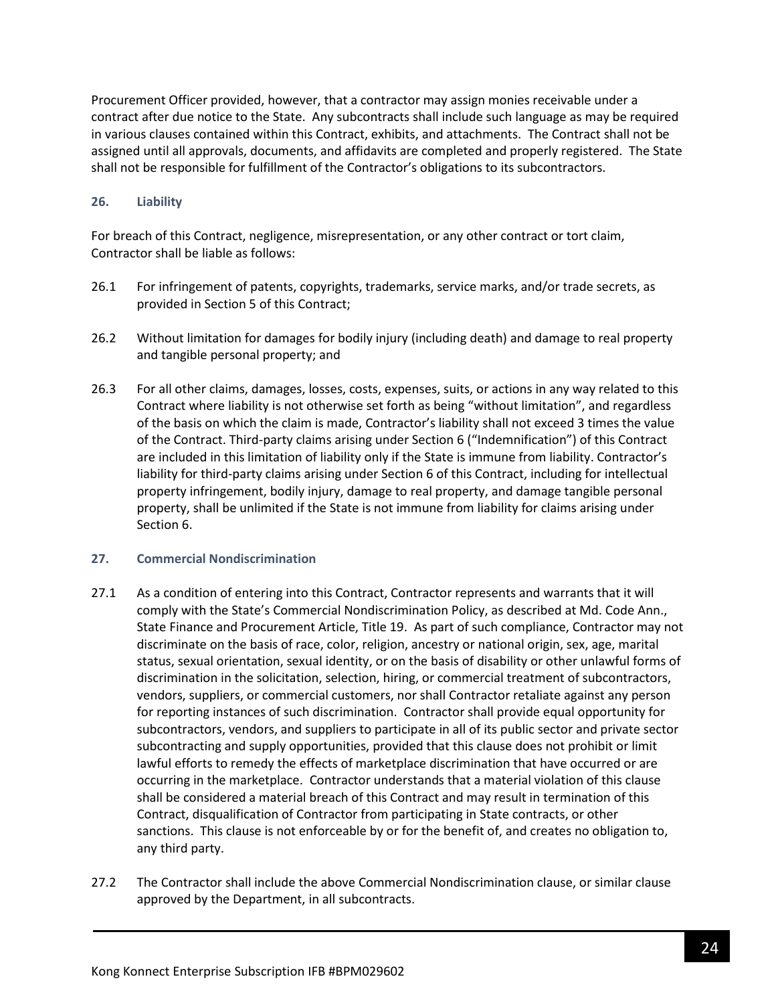Procurement Officer provided, however, that a contractor may assign monies receivable under a contract after due notice to the State. Any subcontracts shall include such language as may be required in various clauses contained within this Contract, exhibits, and attachments. The Contract shall not be assigned until all approvals, documents, and affidavits are completed and properly registered. The State shall not be responsible for fulfillment of the Contractor's obligations to its subcontractors.

# **26. Liability**

For breach of this Contract, negligence, misrepresentation, or any other contract or tort claim, Contractor shall be liable as follows:

- 26.1 For infringement of patents, copyrights, trademarks, service marks, and/or trade secrets, as provided in Section 5 of this Contract;
- 26.2 Without limitation for damages for bodily injury (including death) and damage to real property and tangible personal property; and
- 26.3 For all other claims, damages, losses, costs, expenses, suits, or actions in any way related to this Contract where liability is not otherwise set forth as being "without limitation", and regardless of the basis on which the claim is made, Contractor's liability shall not exceed 3 times the value of the Contract. Third-party claims arising under Section 6 ("Indemnification") of this Contract are included in this limitation of liability only if the State is immune from liability. Contractor's liability for third-party claims arising under Section 6 of this Contract, including for intellectual property infringement, bodily injury, damage to real property, and damage tangible personal property, shall be unlimited if the State is not immune from liability for claims arising under Section 6.

### **27. Commercial Nondiscrimination**

- 27.1 As a condition of entering into this Contract, Contractor represents and warrants that it will comply with the State's Commercial Nondiscrimination Policy, as described at Md. Code Ann., State Finance and Procurement Article, Title 19. As part of such compliance, Contractor may not discriminate on the basis of race, color, religion, ancestry or national origin, sex, age, marital status, sexual orientation, sexual identity, or on the basis of disability or other unlawful forms of discrimination in the solicitation, selection, hiring, or commercial treatment of subcontractors, vendors, suppliers, or commercial customers, nor shall Contractor retaliate against any person for reporting instances of such discrimination. Contractor shall provide equal opportunity for subcontractors, vendors, and suppliers to participate in all of its public sector and private sector subcontracting and supply opportunities, provided that this clause does not prohibit or limit lawful efforts to remedy the effects of marketplace discrimination that have occurred or are occurring in the marketplace. Contractor understands that a material violation of this clause shall be considered a material breach of this Contract and may result in termination of this Contract, disqualification of Contractor from participating in State contracts, or other sanctions. This clause is not enforceable by or for the benefit of, and creates no obligation to, any third party.
- 27.2 The Contractor shall include the above Commercial Nondiscrimination clause, or similar clause approved by the Department, in all subcontracts.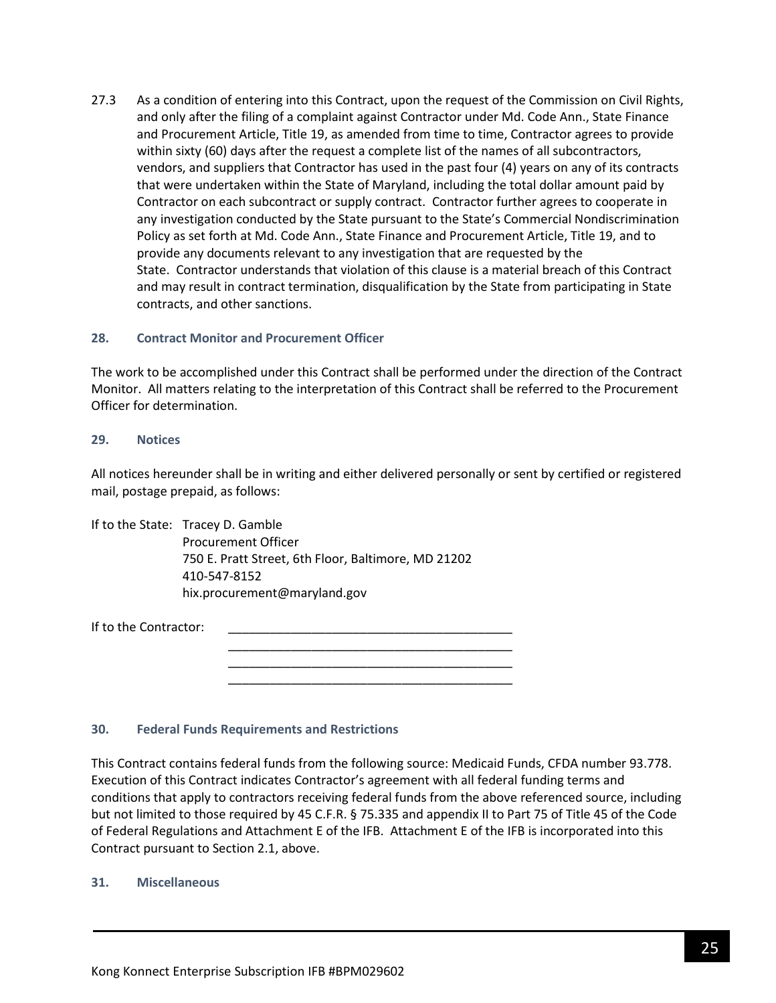27.3 As a condition of entering into this Contract, upon the request of the Commission on Civil Rights, and only after the filing of a complaint against Contractor under Md. Code Ann., State Finance and Procurement Article, Title 19, as amended from time to time, Contractor agrees to provide within sixty (60) days after the request a complete list of the names of all subcontractors, vendors, and suppliers that Contractor has used in the past four (4) years on any of its contracts that were undertaken within the State of Maryland, including the total dollar amount paid by Contractor on each subcontract or supply contract. Contractor further agrees to cooperate in any investigation conducted by the State pursuant to the State's Commercial Nondiscrimination Policy as set forth at Md. Code Ann., State Finance and Procurement Article, Title 19, and to provide any documents relevant to any investigation that are requested by the State. Contractor understands that violation of this clause is a material breach of this Contract and may result in contract termination, disqualification by the State from participating in State contracts, and other sanctions.

#### **28. Contract Monitor and Procurement Officer**

The work to be accomplished under this Contract shall be performed under the direction of the Contract Monitor. All matters relating to the interpretation of this Contract shall be referred to the Procurement Officer for determination.

#### **29. Notices**

All notices hereunder shall be in writing and either delivered personally or sent by certified or registered mail, postage prepaid, as follows:

> \_\_\_\_\_\_\_\_\_\_\_\_\_\_\_\_\_\_\_\_\_\_\_\_\_\_\_\_\_\_\_\_\_\_\_\_\_\_\_\_\_ \_\_\_\_\_\_\_\_\_\_\_\_\_\_\_\_\_\_\_\_\_\_\_\_\_\_\_\_\_\_\_\_\_\_\_\_\_\_\_\_\_ \_\_\_\_\_\_\_\_\_\_\_\_\_\_\_\_\_\_\_\_\_\_\_\_\_\_\_\_\_\_\_\_\_\_\_\_\_\_\_\_\_

If to the State: Tracey D. Gamble Procurement Officer 750 E. Pratt Street, 6th Floor, Baltimore, MD 21202 410-547-8152 hix.procurement@maryland.gov

If to the Contractor:

#### **30. Federal Funds Requirements and Restrictions**

This Contract contains federal funds from the following source: Medicaid Funds, CFDA number 93.778. Execution of this Contract indicates Contractor's agreement with all federal funding terms and conditions that apply to contractors receiving federal funds from the above referenced source, including but not limited to those required by 45 C.F.R. § 75.335 and appendix II to Part 75 of Title 45 of the Code of Federal Regulations and Attachment E of the IFB. Attachment E of the IFB is incorporated into this Contract pursuant to Section 2.1, above.

#### **31. Miscellaneous**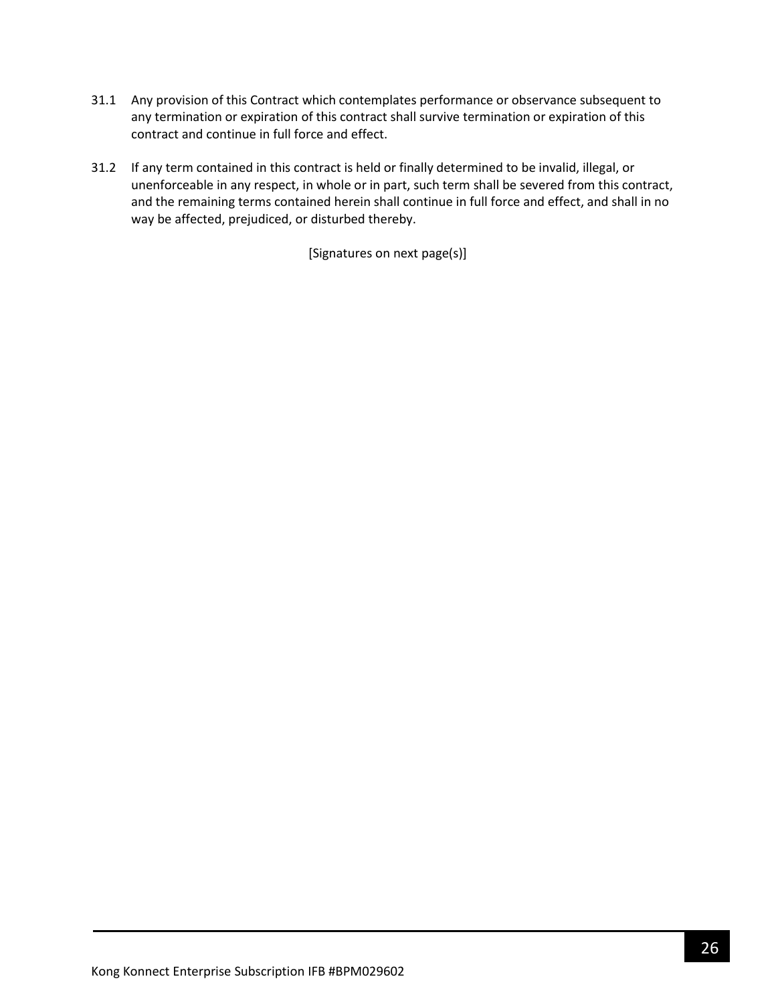- 31.1 Any provision of this Contract which contemplates performance or observance subsequent to any termination or expiration of this contract shall survive termination or expiration of this contract and continue in full force and effect.
- 31.2 If any term contained in this contract is held or finally determined to be invalid, illegal, or unenforceable in any respect, in whole or in part, such term shall be severed from this contract, and the remaining terms contained herein shall continue in full force and effect, and shall in no way be affected, prejudiced, or disturbed thereby.

[Signatures on next page(s)]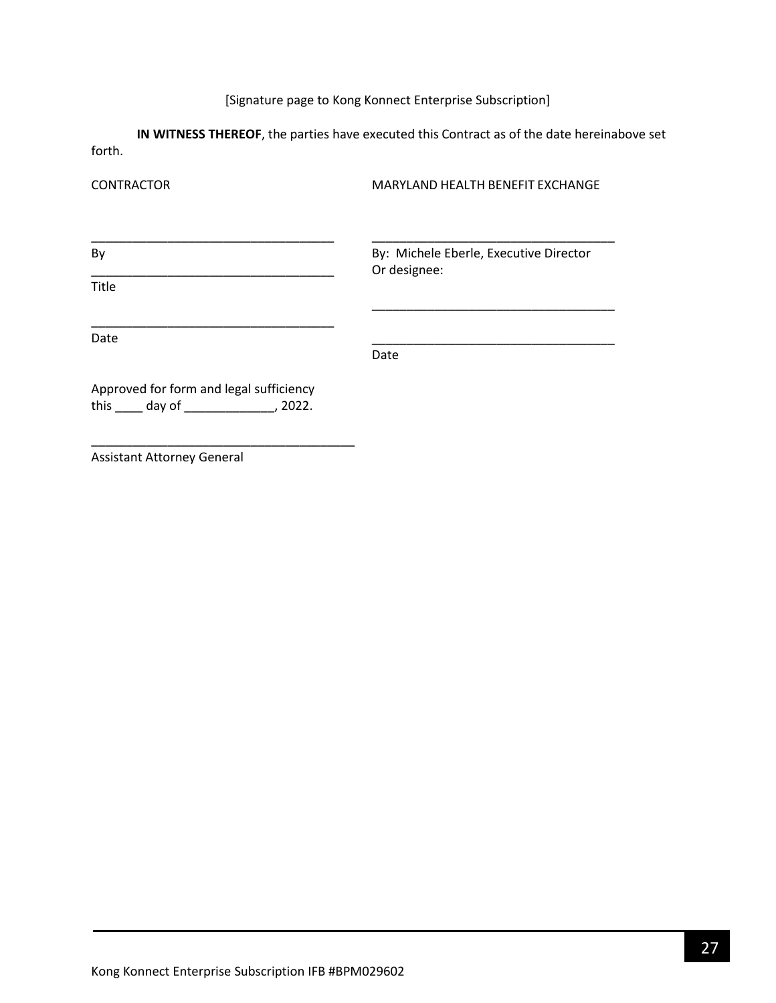# [Signature page to Kong Konnect Enterprise Subscription]

**IN WITNESS THEREOF**, the parties have executed this Contract as of the date hereinabove set forth.

| <b>CONTRACTOR</b>                                                                            | MARYLAND HEALTH BENEFIT EXCHANGE                       |  |  |
|----------------------------------------------------------------------------------------------|--------------------------------------------------------|--|--|
| By                                                                                           | By: Michele Eberle, Executive Director<br>Or designee: |  |  |
| <b>Title</b>                                                                                 |                                                        |  |  |
| Date                                                                                         | Date                                                   |  |  |
| Approved for form and legal sufficiency<br>this $\qquad \qquad$ day of $\qquad \qquad$ 2022. |                                                        |  |  |

Assistant Attorney General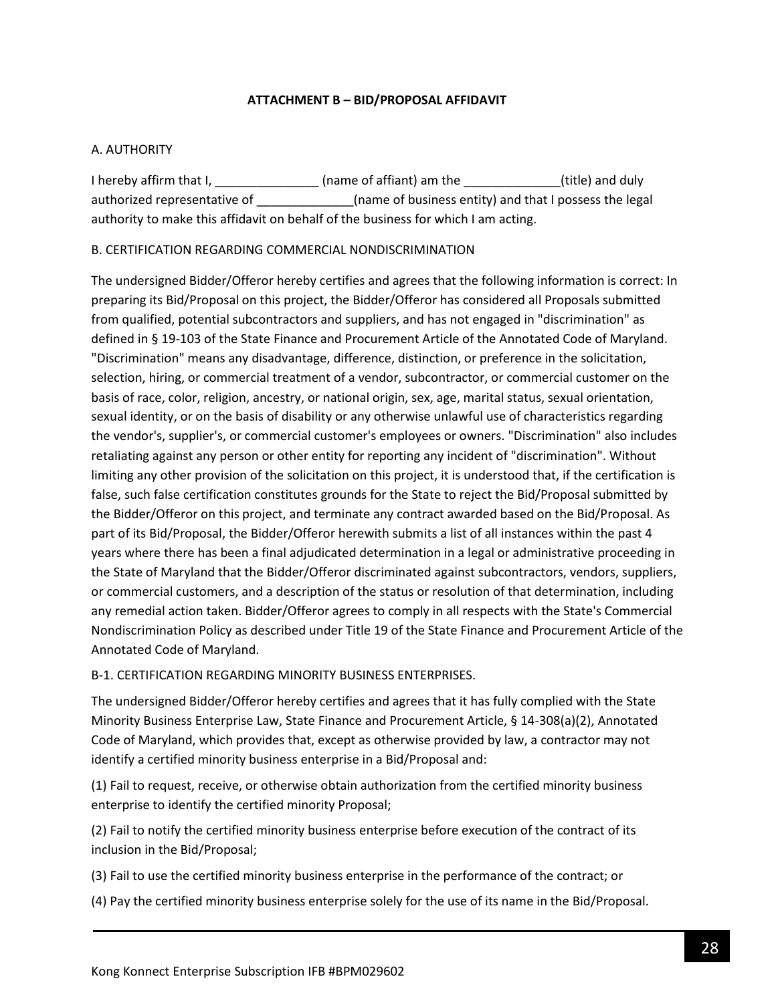# **ATTACHMENT B – BID/PROPOSAL AFFIDAVIT**

### <span id="page-27-0"></span>A. AUTHORITY

I hereby affirm that I, \_\_\_\_\_\_\_\_\_\_\_\_\_\_\_\_\_\_(name of affiant) am the \_\_\_\_\_\_\_\_\_\_\_\_\_\_(title) and duly authorized representative of \_\_\_\_\_\_\_\_\_\_\_\_\_(name of business entity) and that I possess the legal authority to make this affidavit on behalf of the business for which I am acting.

# B. CERTIFICATION REGARDING COMMERCIAL NONDISCRIMINATION

The undersigned Bidder/Offeror hereby certifies and agrees that the following information is correct: In preparing its Bid/Proposal on this project, the Bidder/Offeror has considered all Proposals submitted from qualified, potential subcontractors and suppliers, and has not engaged in "discrimination" as defined in § 19-103 of the State Finance and Procurement Article of the Annotated Code of Maryland. "Discrimination" means any disadvantage, difference, distinction, or preference in the solicitation, selection, hiring, or commercial treatment of a vendor, subcontractor, or commercial customer on the basis of race, color, religion, ancestry, or national origin, sex, age, marital status, sexual orientation, sexual identity, or on the basis of disability or any otherwise unlawful use of characteristics regarding the vendor's, supplier's, or commercial customer's employees or owners. "Discrimination" also includes retaliating against any person or other entity for reporting any incident of "discrimination". Without limiting any other provision of the solicitation on this project, it is understood that, if the certification is false, such false certification constitutes grounds for the State to reject the Bid/Proposal submitted by the Bidder/Offeror on this project, and terminate any contract awarded based on the Bid/Proposal. As part of its Bid/Proposal, the Bidder/Offeror herewith submits a list of all instances within the past 4 years where there has been a final adjudicated determination in a legal or administrative proceeding in the State of Maryland that the Bidder/Offeror discriminated against subcontractors, vendors, suppliers, or commercial customers, and a description of the status or resolution of that determination, including any remedial action taken. Bidder/Offeror agrees to comply in all respects with the State's Commercial Nondiscrimination Policy as described under Title 19 of the State Finance and Procurement Article of the Annotated Code of Maryland.

### B-1. CERTIFICATION REGARDING MINORITY BUSINESS ENTERPRISES.

The undersigned Bidder/Offeror hereby certifies and agrees that it has fully complied with the State Minority Business Enterprise Law, State Finance and Procurement Article, § 14-308(a)(2), Annotated Code of Maryland, which provides that, except as otherwise provided by law, a contractor may not identify a certified minority business enterprise in a Bid/Proposal and:

(1) Fail to request, receive, or otherwise obtain authorization from the certified minority business enterprise to identify the certified minority Proposal;

(2) Fail to notify the certified minority business enterprise before execution of the contract of its inclusion in the Bid/Proposal;

- (3) Fail to use the certified minority business enterprise in the performance of the contract; or
- (4) Pay the certified minority business enterprise solely for the use of its name in the Bid/Proposal.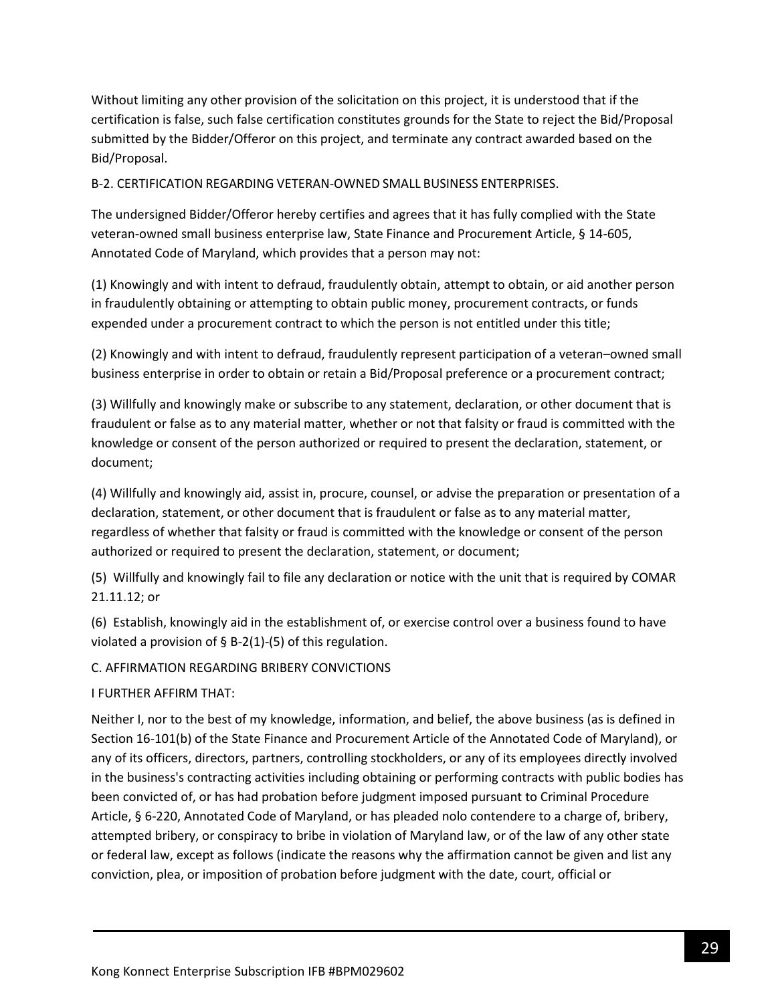Without limiting any other provision of the solicitation on this project, it is understood that if the certification is false, such false certification constitutes grounds for the State to reject the Bid/Proposal submitted by the Bidder/Offeror on this project, and terminate any contract awarded based on the Bid/Proposal.

B-2. CERTIFICATION REGARDING VETERAN-OWNED SMALL BUSINESS ENTERPRISES.

The undersigned Bidder/Offeror hereby certifies and agrees that it has fully complied with the State veteran-owned small business enterprise law, State Finance and Procurement Article, § 14-605, Annotated Code of Maryland, which provides that a person may not:

(1) Knowingly and with intent to defraud, fraudulently obtain, attempt to obtain, or aid another person in fraudulently obtaining or attempting to obtain public money, procurement contracts, or funds expended under a procurement contract to which the person is not entitled under this title;

(2) Knowingly and with intent to defraud, fraudulently represent participation of a veteran–owned small business enterprise in order to obtain or retain a Bid/Proposal preference or a procurement contract;

(3) Willfully and knowingly make or subscribe to any statement, declaration, or other document that is fraudulent or false as to any material matter, whether or not that falsity or fraud is committed with the knowledge or consent of the person authorized or required to present the declaration, statement, or document;

(4) Willfully and knowingly aid, assist in, procure, counsel, or advise the preparation or presentation of a declaration, statement, or other document that is fraudulent or false as to any material matter, regardless of whether that falsity or fraud is committed with the knowledge or consent of the person authorized or required to present the declaration, statement, or document;

(5) Willfully and knowingly fail to file any declaration or notice with the unit that is required by COMAR 21.11.12; or

(6) Establish, knowingly aid in the establishment of, or exercise control over a business found to have violated a provision of  $\S$  B-2(1)-(5) of this regulation.

C. AFFIRMATION REGARDING BRIBERY CONVICTIONS

I FURTHER AFFIRM THAT:

Neither I, nor to the best of my knowledge, information, and belief, the above business (as is defined in Section 16-101(b) of the State Finance and Procurement Article of the Annotated Code of Maryland), or any of its officers, directors, partners, controlling stockholders, or any of its employees directly involved in the business's contracting activities including obtaining or performing contracts with public bodies has been convicted of, or has had probation before judgment imposed pursuant to Criminal Procedure Article, § 6-220, Annotated Code of Maryland, or has pleaded nolo contendere to a charge of, bribery, attempted bribery, or conspiracy to bribe in violation of Maryland law, or of the law of any other state or federal law, except as follows (indicate the reasons why the affirmation cannot be given and list any conviction, plea, or imposition of probation before judgment with the date, court, official or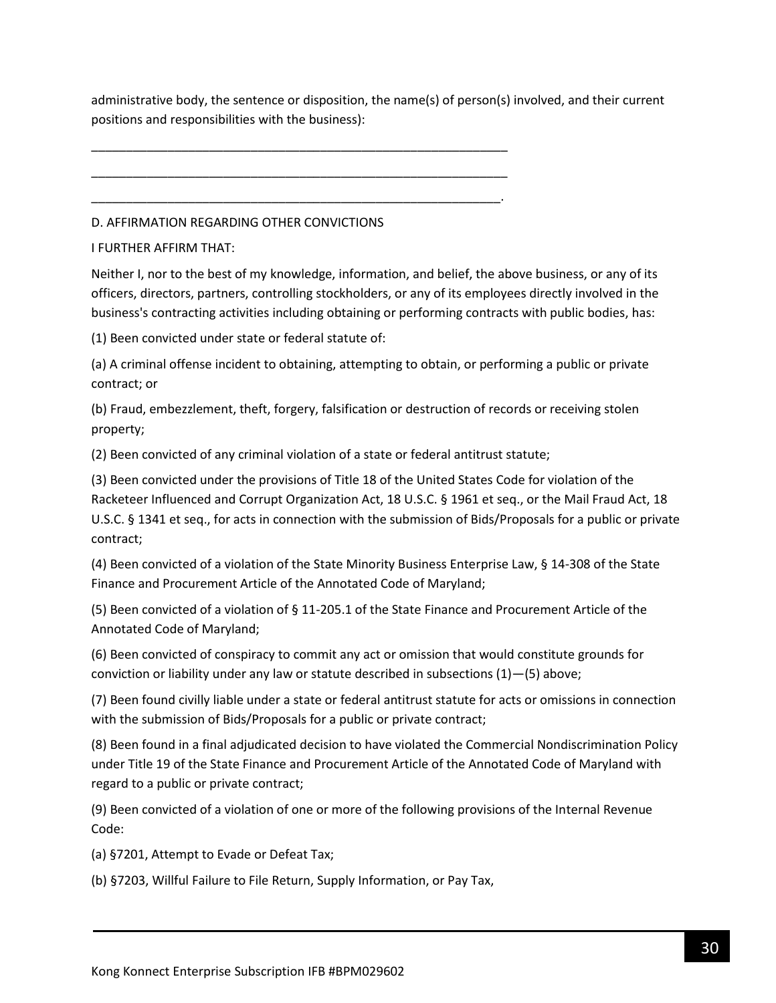administrative body, the sentence or disposition, the name(s) of person(s) involved, and their current positions and responsibilities with the business):

D. AFFIRMATION REGARDING OTHER CONVICTIONS

\_\_\_\_\_\_\_\_\_\_\_\_\_\_\_\_\_\_\_\_\_\_\_\_\_\_\_\_\_\_\_\_\_\_\_\_\_\_\_\_\_\_\_\_\_\_\_\_\_\_\_\_\_\_\_\_\_\_\_\_

\_\_\_\_\_\_\_\_\_\_\_\_\_\_\_\_\_\_\_\_\_\_\_\_\_\_\_\_\_\_\_\_\_\_\_\_\_\_\_\_\_\_\_\_\_\_\_\_\_\_\_\_\_\_\_\_\_\_\_\_

\_\_\_\_\_\_\_\_\_\_\_\_\_\_\_\_\_\_\_\_\_\_\_\_\_\_\_\_\_\_\_\_\_\_\_\_\_\_\_\_\_\_\_\_\_\_\_\_\_\_\_\_\_\_\_\_\_\_\_.

I FURTHER AFFIRM THAT:

Neither I, nor to the best of my knowledge, information, and belief, the above business, or any of its officers, directors, partners, controlling stockholders, or any of its employees directly involved in the business's contracting activities including obtaining or performing contracts with public bodies, has:

(1) Been convicted under state or federal statute of:

(a) A criminal offense incident to obtaining, attempting to obtain, or performing a public or private contract; or

(b) Fraud, embezzlement, theft, forgery, falsification or destruction of records or receiving stolen property;

(2) Been convicted of any criminal violation of a state or federal antitrust statute;

(3) Been convicted under the provisions of Title 18 of the United States Code for violation of the Racketeer Influenced and Corrupt Organization Act, 18 U.S.C. § 1961 et seq., or the Mail Fraud Act, 18 U.S.C. § 1341 et seq., for acts in connection with the submission of Bids/Proposals for a public or private contract;

(4) Been convicted of a violation of the State Minority Business Enterprise Law, § 14-308 of the State Finance and Procurement Article of the Annotated Code of Maryland;

(5) Been convicted of a violation of § 11-205.1 of the State Finance and Procurement Article of the Annotated Code of Maryland;

(6) Been convicted of conspiracy to commit any act or omission that would constitute grounds for conviction or liability under any law or statute described in subsections (1)—(5) above;

(7) Been found civilly liable under a state or federal antitrust statute for acts or omissions in connection with the submission of Bids/Proposals for a public or private contract;

(8) Been found in a final adjudicated decision to have violated the Commercial Nondiscrimination Policy under Title 19 of the State Finance and Procurement Article of the Annotated Code of Maryland with regard to a public or private contract;

(9) Been convicted of a violation of one or more of the following provisions of the Internal Revenue Code:

(a) §7201, Attempt to Evade or Defeat Tax;

(b) §7203, Willful Failure to File Return, Supply Information, or Pay Tax,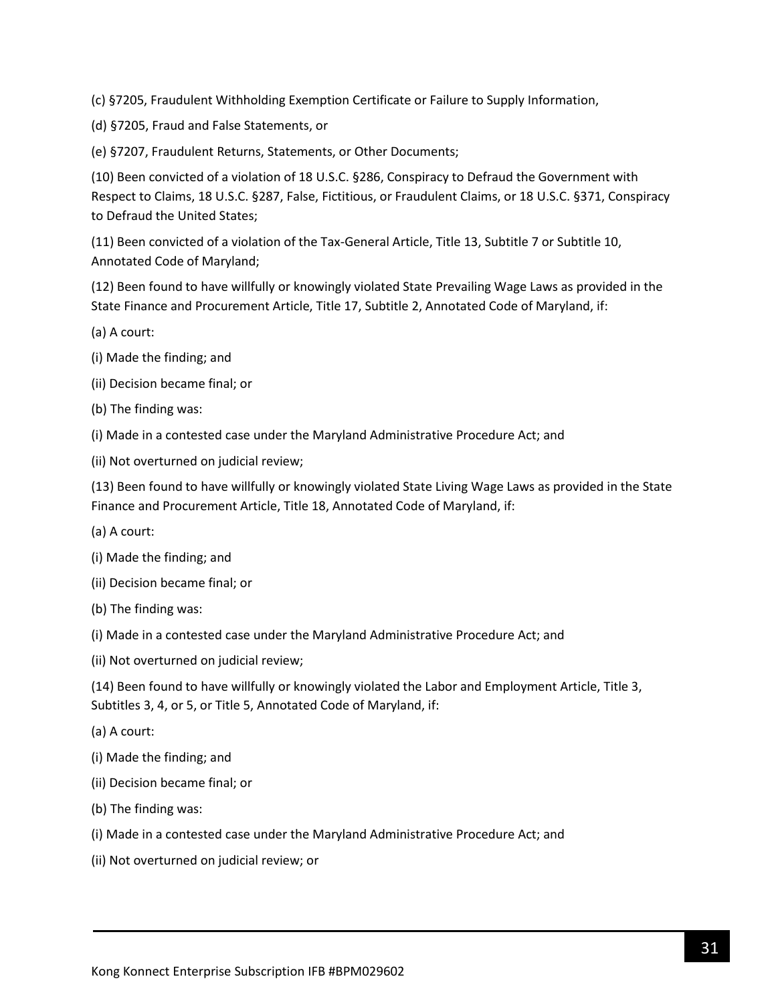(c) §7205, Fraudulent Withholding Exemption Certificate or Failure to Supply Information,

(d) §7205, Fraud and False Statements, or

(e) §7207, Fraudulent Returns, Statements, or Other Documents;

(10) Been convicted of a violation of 18 U.S.C. §286, Conspiracy to Defraud the Government with Respect to Claims, 18 U.S.C. §287, False, Fictitious, or Fraudulent Claims, or 18 U.S.C. §371, Conspiracy to Defraud the United States;

(11) Been convicted of a violation of the Tax-General Article, Title 13, Subtitle 7 or Subtitle 10, Annotated Code of Maryland;

(12) Been found to have willfully or knowingly violated State Prevailing Wage Laws as provided in the State Finance and Procurement Article, Title 17, Subtitle 2, Annotated Code of Maryland, if:

- (a) A court:
- (i) Made the finding; and
- (ii) Decision became final; or
- (b) The finding was:
- (i) Made in a contested case under the Maryland Administrative Procedure Act; and
- (ii) Not overturned on judicial review;

(13) Been found to have willfully or knowingly violated State Living Wage Laws as provided in the State Finance and Procurement Article, Title 18, Annotated Code of Maryland, if:

- (a) A court:
- (i) Made the finding; and
- (ii) Decision became final; or
- (b) The finding was:
- (i) Made in a contested case under the Maryland Administrative Procedure Act; and
- (ii) Not overturned on judicial review;

(14) Been found to have willfully or knowingly violated the Labor and Employment Article, Title 3, Subtitles 3, 4, or 5, or Title 5, Annotated Code of Maryland, if:

- (a) A court:
- (i) Made the finding; and
- (ii) Decision became final; or
- (b) The finding was:
- (i) Made in a contested case under the Maryland Administrative Procedure Act; and
- (ii) Not overturned on judicial review; or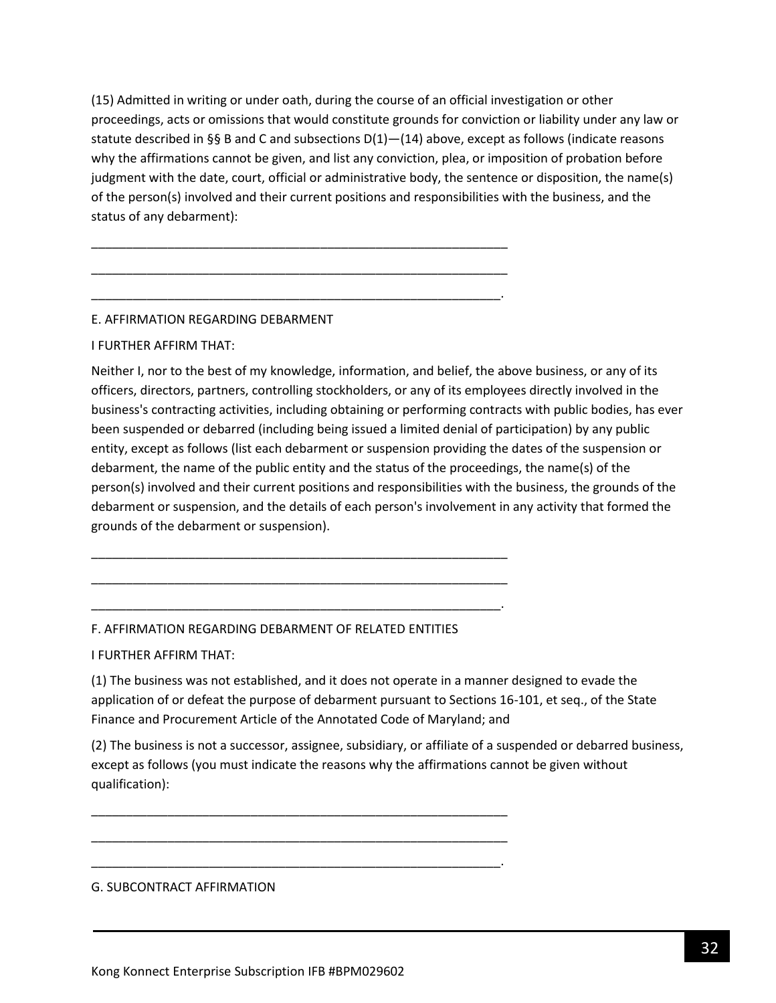(15) Admitted in writing or under oath, during the course of an official investigation or other proceedings, acts or omissions that would constitute grounds for conviction or liability under any law or statute described in §§ B and C and subsections  $D(1)$ — $(14)$  above, except as follows (indicate reasons why the affirmations cannot be given, and list any conviction, plea, or imposition of probation before judgment with the date, court, official or administrative body, the sentence or disposition, the name(s) of the person(s) involved and their current positions and responsibilities with the business, and the status of any debarment):

\_\_\_\_\_\_\_\_\_\_\_\_\_\_\_\_\_\_\_\_\_\_\_\_\_\_\_\_\_\_\_\_\_\_\_\_\_\_\_\_\_\_\_\_\_\_\_\_\_\_\_\_\_\_\_\_\_\_\_\_

\_\_\_\_\_\_\_\_\_\_\_\_\_\_\_\_\_\_\_\_\_\_\_\_\_\_\_\_\_\_\_\_\_\_\_\_\_\_\_\_\_\_\_\_\_\_\_\_\_\_\_\_\_\_\_\_\_\_\_\_

\_\_\_\_\_\_\_\_\_\_\_\_\_\_\_\_\_\_\_\_\_\_\_\_\_\_\_\_\_\_\_\_\_\_\_\_\_\_\_\_\_\_\_\_\_\_\_\_\_\_\_\_\_\_\_\_\_\_\_.

# E. AFFIRMATION REGARDING DEBARMENT

### I FURTHER AFFIRM THAT:

Neither I, nor to the best of my knowledge, information, and belief, the above business, or any of its officers, directors, partners, controlling stockholders, or any of its employees directly involved in the business's contracting activities, including obtaining or performing contracts with public bodies, has ever been suspended or debarred (including being issued a limited denial of participation) by any public entity, except as follows (list each debarment or suspension providing the dates of the suspension or debarment, the name of the public entity and the status of the proceedings, the name(s) of the person(s) involved and their current positions and responsibilities with the business, the grounds of the debarment or suspension, and the details of each person's involvement in any activity that formed the grounds of the debarment or suspension).

### F. AFFIRMATION REGARDING DEBARMENT OF RELATED ENTITIES

\_\_\_\_\_\_\_\_\_\_\_\_\_\_\_\_\_\_\_\_\_\_\_\_\_\_\_\_\_\_\_\_\_\_\_\_\_\_\_\_\_\_\_\_\_\_\_\_\_\_\_\_\_\_\_\_\_\_\_\_

\_\_\_\_\_\_\_\_\_\_\_\_\_\_\_\_\_\_\_\_\_\_\_\_\_\_\_\_\_\_\_\_\_\_\_\_\_\_\_\_\_\_\_\_\_\_\_\_\_\_\_\_\_\_\_\_\_\_\_\_

\_\_\_\_\_\_\_\_\_\_\_\_\_\_\_\_\_\_\_\_\_\_\_\_\_\_\_\_\_\_\_\_\_\_\_\_\_\_\_\_\_\_\_\_\_\_\_\_\_\_\_\_\_\_\_\_\_\_\_.

\_\_\_\_\_\_\_\_\_\_\_\_\_\_\_\_\_\_\_\_\_\_\_\_\_\_\_\_\_\_\_\_\_\_\_\_\_\_\_\_\_\_\_\_\_\_\_\_\_\_\_\_\_\_\_\_\_\_\_\_

\_\_\_\_\_\_\_\_\_\_\_\_\_\_\_\_\_\_\_\_\_\_\_\_\_\_\_\_\_\_\_\_\_\_\_\_\_\_\_\_\_\_\_\_\_\_\_\_\_\_\_\_\_\_\_\_\_\_\_\_

\_\_\_\_\_\_\_\_\_\_\_\_\_\_\_\_\_\_\_\_\_\_\_\_\_\_\_\_\_\_\_\_\_\_\_\_\_\_\_\_\_\_\_\_\_\_\_\_\_\_\_\_\_\_\_\_\_\_\_.

I FURTHER AFFIRM THAT:

(1) The business was not established, and it does not operate in a manner designed to evade the application of or defeat the purpose of debarment pursuant to Sections 16-101, et seq., of the State Finance and Procurement Article of the Annotated Code of Maryland; and

(2) The business is not a successor, assignee, subsidiary, or affiliate of a suspended or debarred business, except as follows (you must indicate the reasons why the affirmations cannot be given without qualification):

### G. SUBCONTRACT AFFIRMATION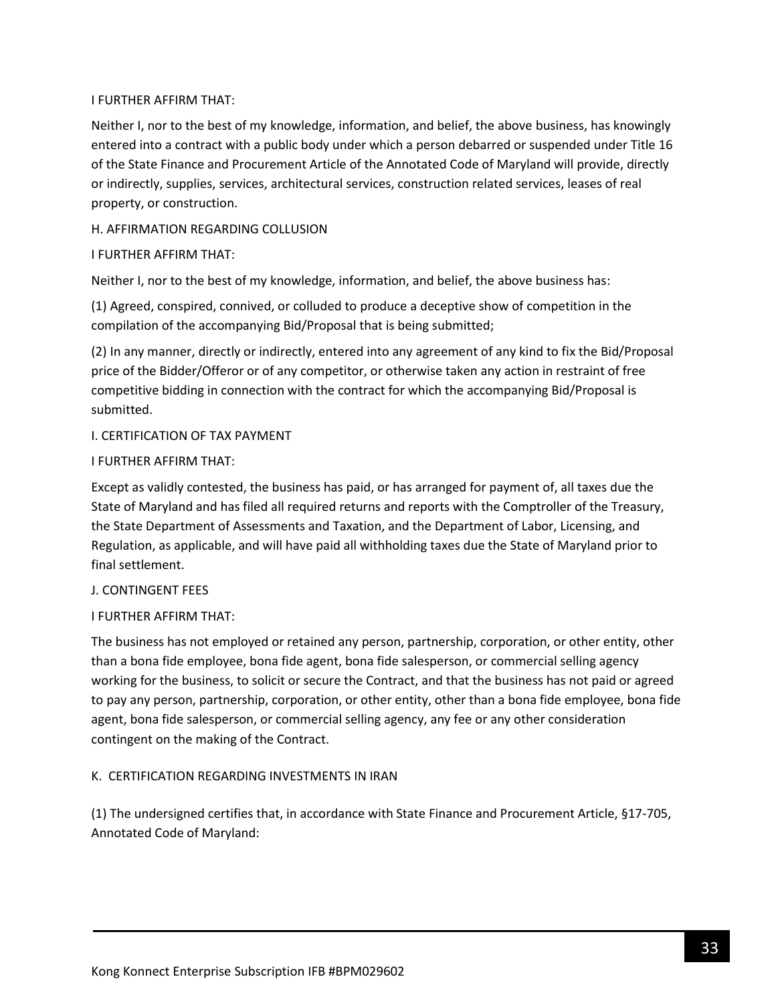# I FURTHER AFFIRM THAT:

Neither I, nor to the best of my knowledge, information, and belief, the above business, has knowingly entered into a contract with a public body under which a person debarred or suspended under Title 16 of the State Finance and Procurement Article of the Annotated Code of Maryland will provide, directly or indirectly, supplies, services, architectural services, construction related services, leases of real property, or construction.

# H. AFFIRMATION REGARDING COLLUSION

# I FURTHER AFFIRM THAT:

Neither I, nor to the best of my knowledge, information, and belief, the above business has:

(1) Agreed, conspired, connived, or colluded to produce a deceptive show of competition in the compilation of the accompanying Bid/Proposal that is being submitted;

(2) In any manner, directly or indirectly, entered into any agreement of any kind to fix the Bid/Proposal price of the Bidder/Offeror or of any competitor, or otherwise taken any action in restraint of free competitive bidding in connection with the contract for which the accompanying Bid/Proposal is submitted.

# I. CERTIFICATION OF TAX PAYMENT

### I FURTHER AFFIRM THAT:

Except as validly contested, the business has paid, or has arranged for payment of, all taxes due the State of Maryland and has filed all required returns and reports with the Comptroller of the Treasury, the State Department of Assessments and Taxation, and the Department of Labor, Licensing, and Regulation, as applicable, and will have paid all withholding taxes due the State of Maryland prior to final settlement.

### J. CONTINGENT FEES

# I FURTHER AFFIRM THAT:

The business has not employed or retained any person, partnership, corporation, or other entity, other than a bona fide employee, bona fide agent, bona fide salesperson, or commercial selling agency working for the business, to solicit or secure the Contract, and that the business has not paid or agreed to pay any person, partnership, corporation, or other entity, other than a bona fide employee, bona fide agent, bona fide salesperson, or commercial selling agency, any fee or any other consideration contingent on the making of the Contract.

# K. CERTIFICATION REGARDING INVESTMENTS IN IRAN

(1) The undersigned certifies that, in accordance with State Finance and Procurement Article, §17-705, Annotated Code of Maryland: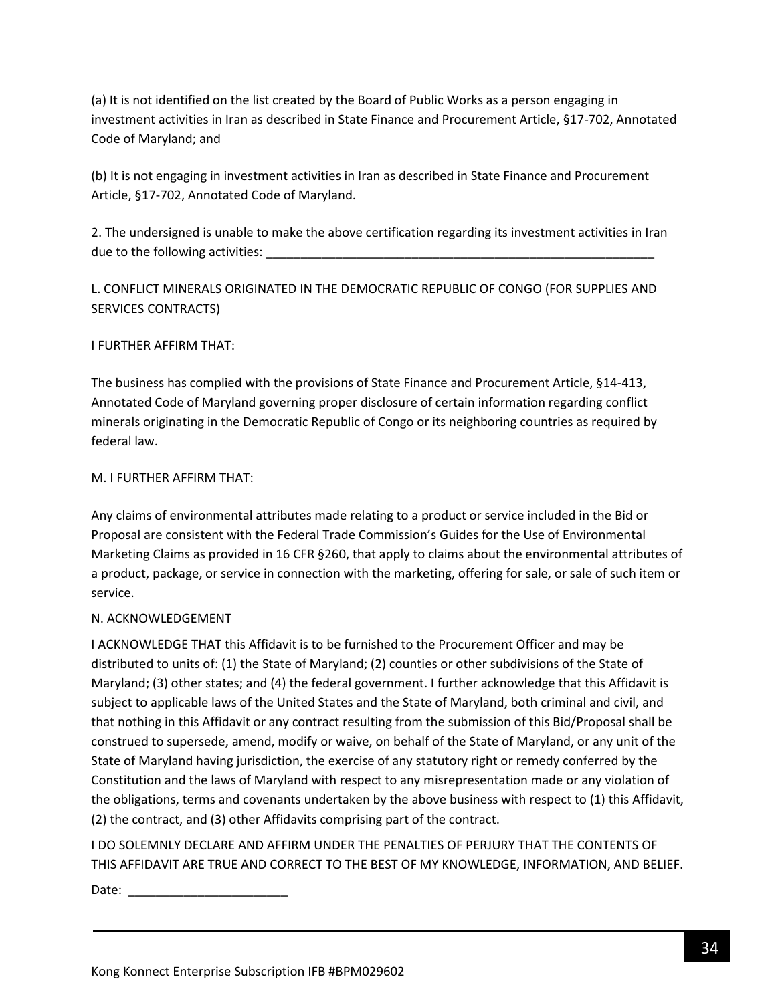(a) It is not identified on the list created by the Board of Public Works as a person engaging in investment activities in Iran as described in State Finance and Procurement Article, §17-702, Annotated Code of Maryland; and

(b) It is not engaging in investment activities in Iran as described in State Finance and Procurement Article, §17-702, Annotated Code of Maryland.

2. The undersigned is unable to make the above certification regarding its investment activities in Iran due to the following activities:

L. CONFLICT MINERALS ORIGINATED IN THE DEMOCRATIC REPUBLIC OF CONGO (FOR SUPPLIES AND SERVICES CONTRACTS)

# I FURTHER AFFIRM THAT:

The business has complied with the provisions of State Finance and Procurement Article, §14-413, Annotated Code of Maryland governing proper disclosure of certain information regarding conflict minerals originating in the Democratic Republic of Congo or its neighboring countries as required by federal law.

### M. I FURTHER AFFIRM THAT:

Any claims of environmental attributes made relating to a product or service included in the Bid or Proposal are consistent with the Federal Trade Commission's Guides for the Use of Environmental Marketing Claims as provided in 16 CFR §260, that apply to claims about the environmental attributes of a product, package, or service in connection with the marketing, offering for sale, or sale of such item or service.

# N. ACKNOWLEDGEMENT

I ACKNOWLEDGE THAT this Affidavit is to be furnished to the Procurement Officer and may be distributed to units of: (1) the State of Maryland; (2) counties or other subdivisions of the State of Maryland; (3) other states; and (4) the federal government. I further acknowledge that this Affidavit is subject to applicable laws of the United States and the State of Maryland, both criminal and civil, and that nothing in this Affidavit or any contract resulting from the submission of this Bid/Proposal shall be construed to supersede, amend, modify or waive, on behalf of the State of Maryland, or any unit of the State of Maryland having jurisdiction, the exercise of any statutory right or remedy conferred by the Constitution and the laws of Maryland with respect to any misrepresentation made or any violation of the obligations, terms and covenants undertaken by the above business with respect to (1) this Affidavit, (2) the contract, and (3) other Affidavits comprising part of the contract.

I DO SOLEMNLY DECLARE AND AFFIRM UNDER THE PENALTIES OF PERJURY THAT THE CONTENTS OF THIS AFFIDAVIT ARE TRUE AND CORRECT TO THE BEST OF MY KNOWLEDGE, INFORMATION, AND BELIEF.

Date:  $\frac{1}{\sqrt{1-\frac{1}{2}}}$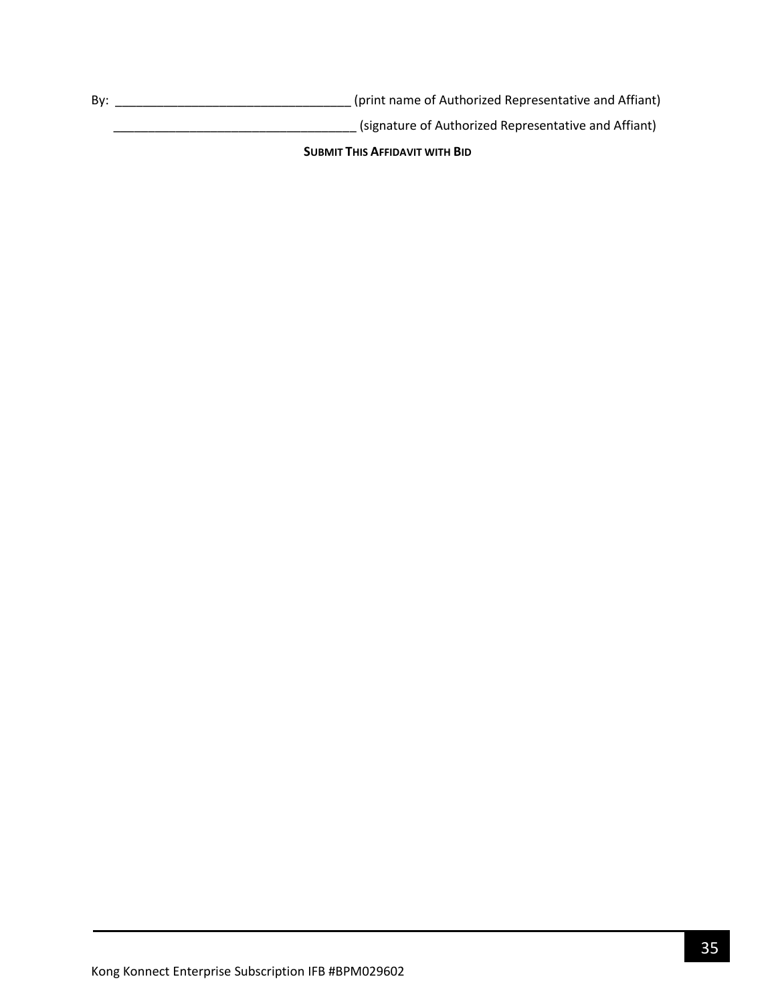By: \_\_\_\_\_\_\_\_\_\_\_\_\_\_\_\_\_\_\_\_\_\_\_\_\_\_\_\_\_\_\_\_\_\_ (print name of Authorized Representative and Affiant)

\_\_\_\_\_\_\_\_\_\_\_\_\_\_\_\_\_\_\_\_\_\_\_\_\_\_\_\_\_\_\_\_\_\_\_ (signature of Authorized Representative and Affiant)

**SUBMIT THIS AFFIDAVIT WITH BID**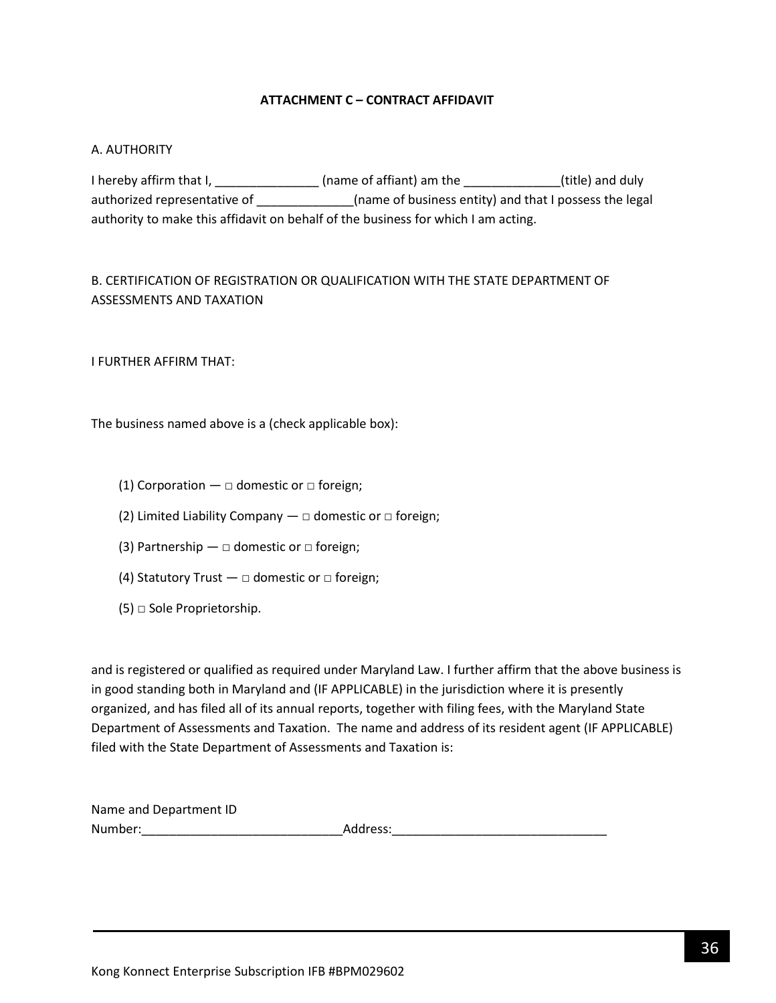### **ATTACHMENT C – CONTRACT AFFIDAVIT**

### <span id="page-35-0"></span>A. AUTHORITY

I hereby affirm that I, \_\_\_\_\_\_\_\_\_\_\_\_\_\_\_\_\_(name of affiant) am the \_\_\_\_\_\_\_\_\_\_\_\_\_\_(title) and duly authorized representative of \_\_\_\_\_\_\_\_\_\_\_\_\_\_\_\_(name of business entity) and that I possess the legal authority to make this affidavit on behalf of the business for which I am acting.

# B. CERTIFICATION OF REGISTRATION OR QUALIFICATION WITH THE STATE DEPARTMENT OF ASSESSMENTS AND TAXATION

I FURTHER AFFIRM THAT:

The business named above is a (check applicable box):

- (1) Corporation  $\Box$  domestic or  $\Box$  foreign;
- (2) Limited Liability Company  $-\Box$  domestic or  $\Box$  foreign;
- (3) Partnership  $\Box$  domestic or  $\Box$  foreign;
- (4) Statutory Trust  $\Box$  domestic or  $\Box$  foreign;
- $(5)$   $\Box$  Sole Proprietorship.

and is registered or qualified as required under Maryland Law. I further affirm that the above business is in good standing both in Maryland and (IF APPLICABLE) in the jurisdiction where it is presently organized, and has filed all of its annual reports, together with filing fees, with the Maryland State Department of Assessments and Taxation. The name and address of its resident agent (IF APPLICABLE) filed with the State Department of Assessments and Taxation is:

| Name and Department ID |          |
|------------------------|----------|
| Number:                | Address: |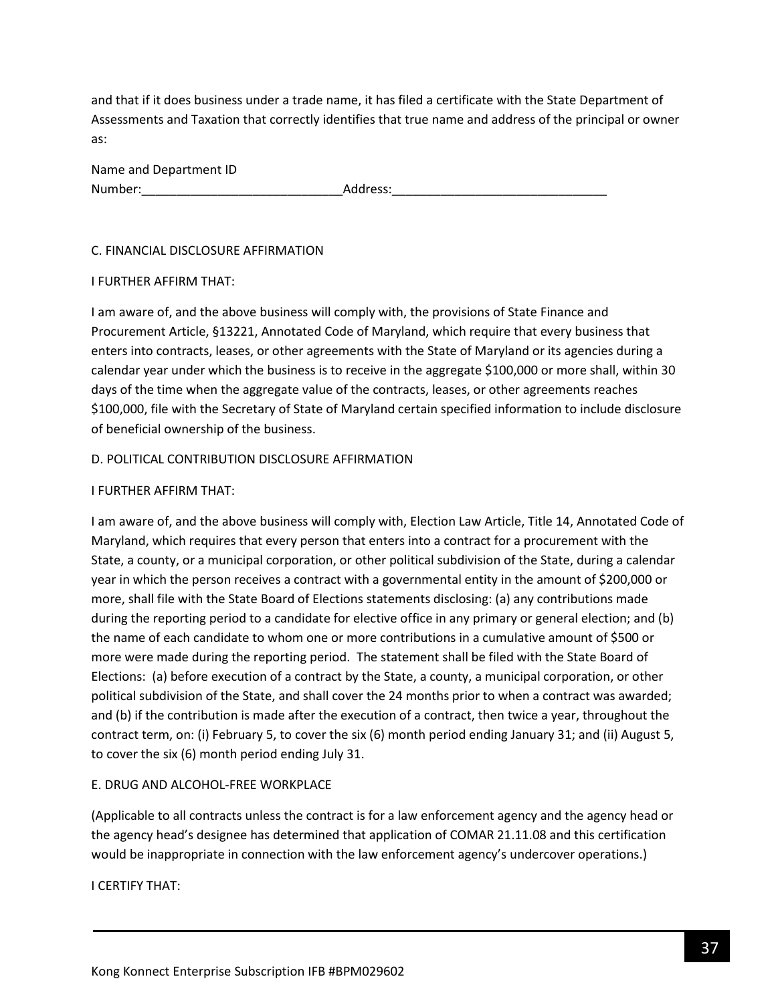and that if it does business under a trade name, it has filed a certificate with the State Department of Assessments and Taxation that correctly identifies that true name and address of the principal or owner as:

| Name and Department ID |          |
|------------------------|----------|
| Number:                | Address: |

### C. FINANCIAL DISCLOSURE AFFIRMATION

### I FURTHER AFFIRM THAT:

I am aware of, and the above business will comply with, the provisions of State Finance and Procurement Article, §13221, Annotated Code of Maryland, which require that every business that enters into contracts, leases, or other agreements with the State of Maryland or its agencies during a calendar year under which the business is to receive in the aggregate \$100,000 or more shall, within 30 days of the time when the aggregate value of the contracts, leases, or other agreements reaches \$100,000, file with the Secretary of State of Maryland certain specified information to include disclosure of beneficial ownership of the business.

# D. POLITICAL CONTRIBUTION DISCLOSURE AFFIRMATION

# I FURTHER AFFIRM THAT:

I am aware of, and the above business will comply with, Election Law Article, Title 14, Annotated Code of Maryland, which requires that every person that enters into a contract for a procurement with the State, a county, or a municipal corporation, or other political subdivision of the State, during a calendar year in which the person receives a contract with a governmental entity in the amount of \$200,000 or more, shall file with the State Board of Elections statements disclosing: (a) any contributions made during the reporting period to a candidate for elective office in any primary or general election; and (b) the name of each candidate to whom one or more contributions in a cumulative amount of \$500 or more were made during the reporting period. The statement shall be filed with the State Board of Elections: (a) before execution of a contract by the State, a county, a municipal corporation, or other political subdivision of the State, and shall cover the 24 months prior to when a contract was awarded; and (b) if the contribution is made after the execution of a contract, then twice a year, throughout the contract term, on: (i) February 5, to cover the six (6) month period ending January 31; and (ii) August 5, to cover the six (6) month period ending July 31.

# E. DRUG AND ALCOHOL-FREE WORKPLACE

(Applicable to all contracts unless the contract is for a law enforcement agency and the agency head or the agency head's designee has determined that application of COMAR 21.11.08 and this certification would be inappropriate in connection with the law enforcement agency's undercover operations.)

I CERTIFY THAT: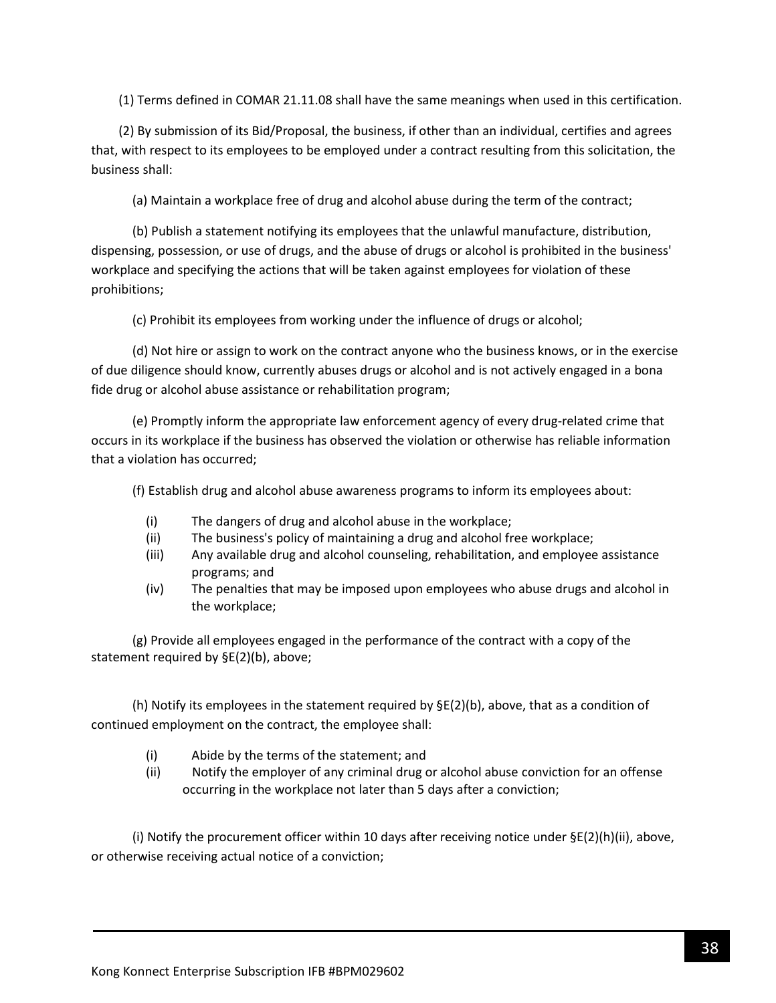(1) Terms defined in COMAR 21.11.08 shall have the same meanings when used in this certification.

(2) By submission of its Bid/Proposal, the business, if other than an individual, certifies and agrees that, with respect to its employees to be employed under a contract resulting from this solicitation, the business shall:

(a) Maintain a workplace free of drug and alcohol abuse during the term of the contract;

(b) Publish a statement notifying its employees that the unlawful manufacture, distribution, dispensing, possession, or use of drugs, and the abuse of drugs or alcohol is prohibited in the business' workplace and specifying the actions that will be taken against employees for violation of these prohibitions;

(c) Prohibit its employees from working under the influence of drugs or alcohol;

(d) Not hire or assign to work on the contract anyone who the business knows, or in the exercise of due diligence should know, currently abuses drugs or alcohol and is not actively engaged in a bona fide drug or alcohol abuse assistance or rehabilitation program;

(e) Promptly inform the appropriate law enforcement agency of every drug-related crime that occurs in its workplace if the business has observed the violation or otherwise has reliable information that a violation has occurred;

(f) Establish drug and alcohol abuse awareness programs to inform its employees about:

- (i) The dangers of drug and alcohol abuse in the workplace;
- (ii) The business's policy of maintaining a drug and alcohol free workplace;
- (iii) Any available drug and alcohol counseling, rehabilitation, and employee assistance programs; and
- (iv) The penalties that may be imposed upon employees who abuse drugs and alcohol in the workplace;

(g) Provide all employees engaged in the performance of the contract with a copy of the statement required by §E(2)(b), above;

(h) Notify its employees in the statement required by  $\Sigma(2)(b)$ , above, that as a condition of continued employment on the contract, the employee shall:

- (i) Abide by the terms of the statement; and
- (ii) Notify the employer of any criminal drug or alcohol abuse conviction for an offense occurring in the workplace not later than 5 days after a conviction;

(i) Notify the procurement officer within 10 days after receiving notice under §E(2)(h)(ii), above, or otherwise receiving actual notice of a conviction;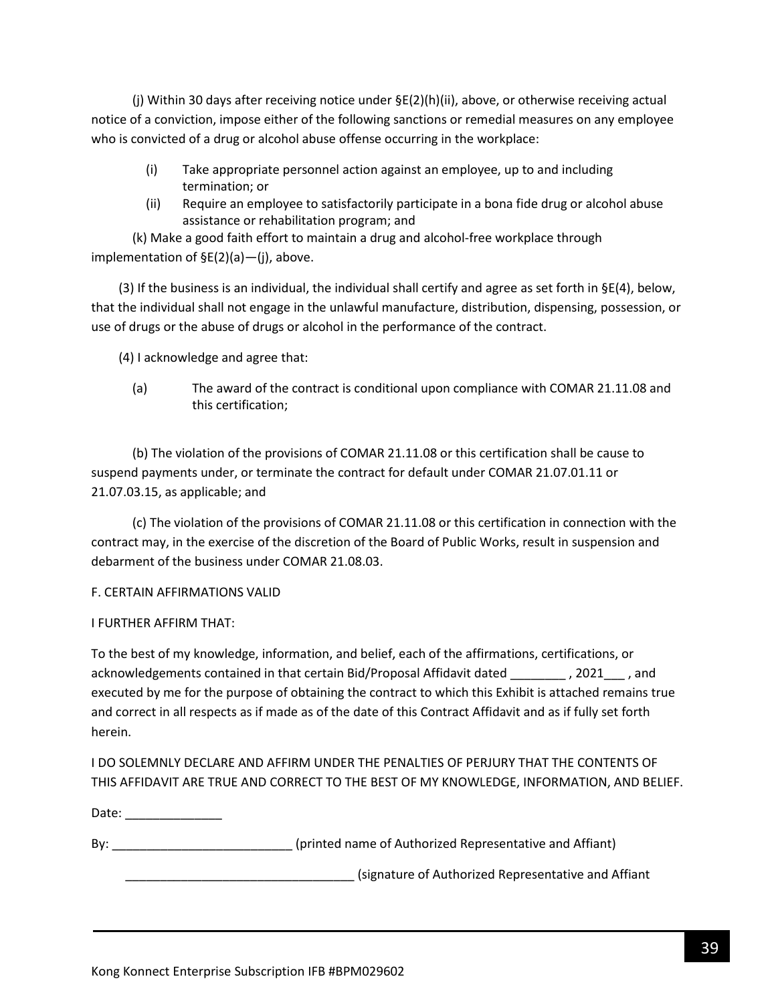(j) Within 30 days after receiving notice under §E(2)(h)(ii), above, or otherwise receiving actual notice of a conviction, impose either of the following sanctions or remedial measures on any employee who is convicted of a drug or alcohol abuse offense occurring in the workplace:

- (i) Take appropriate personnel action against an employee, up to and including termination; or
- (ii) Require an employee to satisfactorily participate in a bona fide drug or alcohol abuse assistance or rehabilitation program; and

(k) Make a good faith effort to maintain a drug and alcohol-free workplace through implementation of §E(2)(a)—(j), above.

(3) If the business is an individual, the individual shall certify and agree as set forth in  $\S E(4)$ , below, that the individual shall not engage in the unlawful manufacture, distribution, dispensing, possession, or use of drugs or the abuse of drugs or alcohol in the performance of the contract.

(4) I acknowledge and agree that:

(a) The award of the contract is conditional upon compliance with COMAR 21.11.08 and this certification;

(b) The violation of the provisions of COMAR 21.11.08 or this certification shall be cause to suspend payments under, or terminate the contract for default under COMAR 21.07.01.11 or 21.07.03.15, as applicable; and

(c) The violation of the provisions of COMAR 21.11.08 or this certification in connection with the contract may, in the exercise of the discretion of the Board of Public Works, result in suspension and debarment of the business under COMAR 21.08.03.

# F. CERTAIN AFFIRMATIONS VALID

# I FURTHER AFFIRM THAT:

To the best of my knowledge, information, and belief, each of the affirmations, certifications, or acknowledgements contained in that certain Bid/Proposal Affidavit dated \_\_\_\_\_\_\_\_ , 2021\_\_\_ , and executed by me for the purpose of obtaining the contract to which this Exhibit is attached remains true and correct in all respects as if made as of the date of this Contract Affidavit and as if fully set forth herein.

I DO SOLEMNLY DECLARE AND AFFIRM UNDER THE PENALTIES OF PERJURY THAT THE CONTENTS OF THIS AFFIDAVIT ARE TRUE AND CORRECT TO THE BEST OF MY KNOWLEDGE, INFORMATION, AND BELIEF.

Date: \_\_\_\_\_\_\_\_\_\_\_\_\_\_\_

By: example and the state of authorized Representative and Affiant)

\_\_\_\_\_\_\_\_\_\_\_\_\_\_\_\_\_\_\_\_\_\_\_\_\_\_\_\_\_\_\_\_\_ (signature of Authorized Representative and Affiant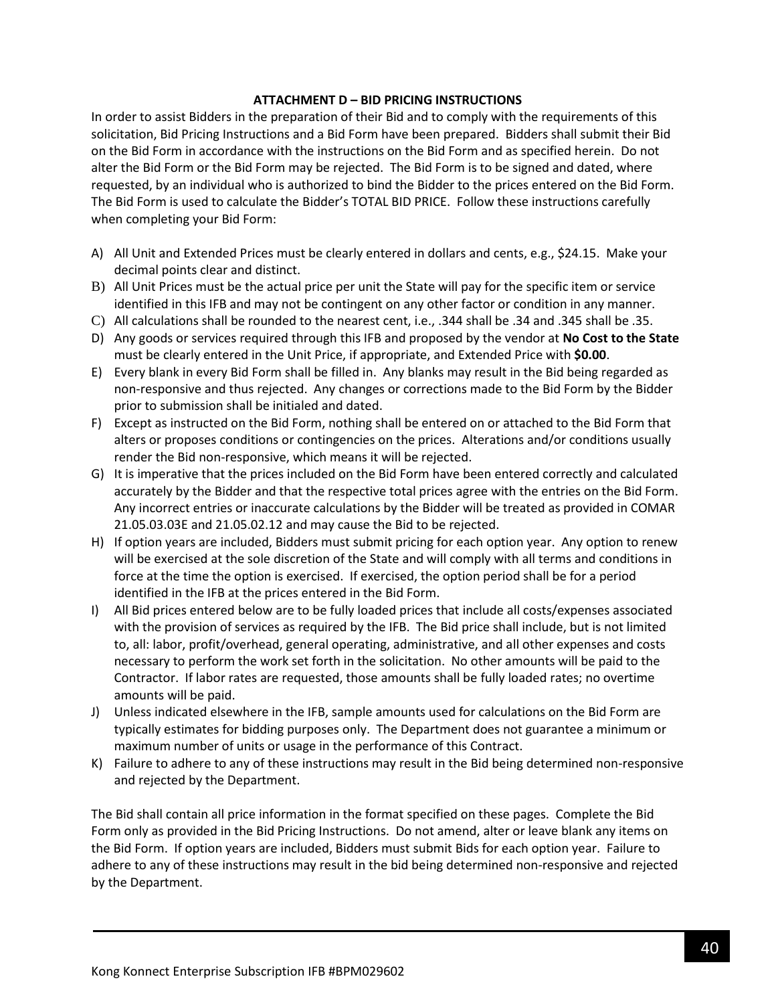### **ATTACHMENT D – BID PRICING INSTRUCTIONS**

In order to assist Bidders in the preparation of their Bid and to comply with the requirements of this solicitation, Bid Pricing Instructions and a Bid Form have been prepared. Bidders shall submit their Bid on the Bid Form in accordance with the instructions on the Bid Form and as specified herein. Do not alter the Bid Form or the Bid Form may be rejected. The Bid Form is to be signed and dated, where requested, by an individual who is authorized to bind the Bidder to the prices entered on the Bid Form. The Bid Form is used to calculate the Bidder's TOTAL BID PRICE. Follow these instructions carefully when completing your Bid Form:

- A) All Unit and Extended Prices must be clearly entered in dollars and cents, e.g., \$24.15. Make your decimal points clear and distinct.
- B) All Unit Prices must be the actual price per unit the State will pay for the specific item or service identified in this IFB and may not be contingent on any other factor or condition in any manner.
- C) All calculations shall be rounded to the nearest cent, i.e., .344 shall be .34 and .345 shall be .35.
- D) Any goods or services required through this IFB and proposed by the vendor at **No Cost to the State** must be clearly entered in the Unit Price, if appropriate, and Extended Price with **\$0.00**.
- E) Every blank in every Bid Form shall be filled in. Any blanks may result in the Bid being regarded as non-responsive and thus rejected. Any changes or corrections made to the Bid Form by the Bidder prior to submission shall be initialed and dated.
- F) Except as instructed on the Bid Form, nothing shall be entered on or attached to the Bid Form that alters or proposes conditions or contingencies on the prices. Alterations and/or conditions usually render the Bid non-responsive, which means it will be rejected.
- G) It is imperative that the prices included on the Bid Form have been entered correctly and calculated accurately by the Bidder and that the respective total prices agree with the entries on the Bid Form. Any incorrect entries or inaccurate calculations by the Bidder will be treated as provided in COMAR 21.05.03.03E and 21.05.02.12 and may cause the Bid to be rejected.
- H) If option years are included, Bidders must submit pricing for each option year. Any option to renew will be exercised at the sole discretion of the State and will comply with all terms and conditions in force at the time the option is exercised. If exercised, the option period shall be for a period identified in the IFB at the prices entered in the Bid Form.
- I) All Bid prices entered below are to be fully loaded prices that include all costs/expenses associated with the provision of services as required by the IFB. The Bid price shall include, but is not limited to, all: labor, profit/overhead, general operating, administrative, and all other expenses and costs necessary to perform the work set forth in the solicitation. No other amounts will be paid to the Contractor. If labor rates are requested, those amounts shall be fully loaded rates; no overtime amounts will be paid.
- J) Unless indicated elsewhere in the IFB, sample amounts used for calculations on the Bid Form are typically estimates for bidding purposes only. The Department does not guarantee a minimum or maximum number of units or usage in the performance of this Contract.
- K) Failure to adhere to any of these instructions may result in the Bid being determined non-responsive and rejected by the Department.

The Bid shall contain all price information in the format specified on these pages. Complete the Bid Form only as provided in the Bid Pricing Instructions. Do not amend, alter or leave blank any items on the Bid Form. If option years are included, Bidders must submit Bids for each option year. Failure to adhere to any of these instructions may result in the bid being determined non-responsive and rejected by the Department.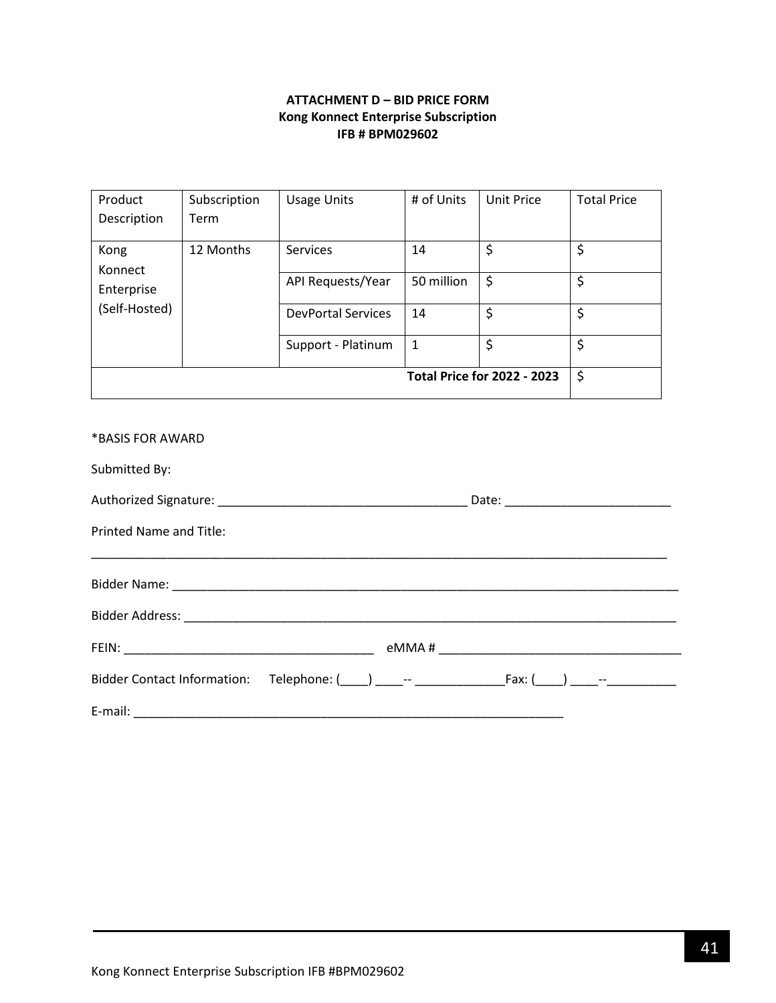# **ATTACHMENT D – BID PRICE FORM Kong Konnect Enterprise Subscription IFB # BPM029602**

<span id="page-40-0"></span>

| Product       | Subscription | <b>Usage Units</b>        | # of Units | Unit Price                         | <b>Total Price</b> |
|---------------|--------------|---------------------------|------------|------------------------------------|--------------------|
| Description   | Term         |                           |            |                                    |                    |
|               |              |                           |            |                                    |                    |
| Kong          | 12 Months    | Services                  | 14         | \$                                 | \$                 |
| Konnect       |              |                           |            |                                    |                    |
|               |              | API Requests/Year         | 50 million | \$                                 | \$                 |
| Enterprise    |              |                           |            |                                    |                    |
| (Self-Hosted) |              | <b>DevPortal Services</b> | 14         | \$                                 | \$                 |
|               |              |                           |            |                                    |                    |
|               |              | Support - Platinum        | 1          | \$                                 | \$                 |
|               |              |                           |            |                                    |                    |
|               |              |                           |            | <b>Total Price for 2022 - 2023</b> | \$                 |
|               |              |                           |            |                                    |                    |

| *BASIS FOR AWARD               |  |  |  |
|--------------------------------|--|--|--|
| Submitted By:                  |  |  |  |
|                                |  |  |  |
| <b>Printed Name and Title:</b> |  |  |  |
|                                |  |  |  |
|                                |  |  |  |
|                                |  |  |  |
|                                |  |  |  |
|                                |  |  |  |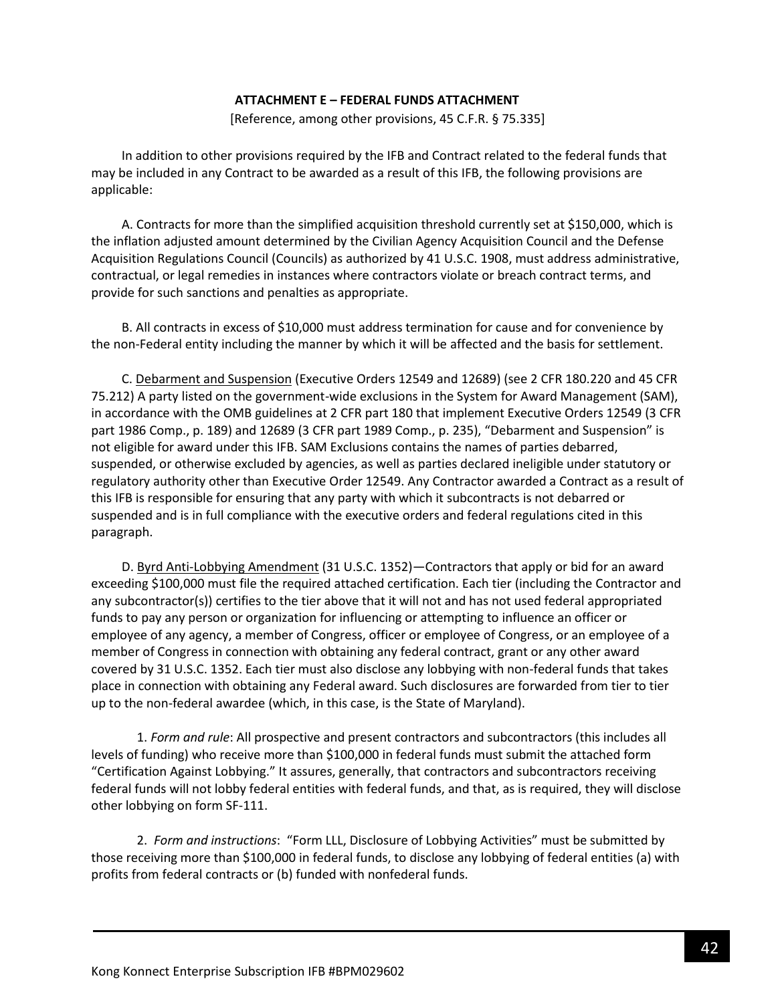#### **ATTACHMENT E – FEDERAL FUNDS ATTACHMENT**

[Reference, among other provisions, 45 C.F.R. § 75.335]

<span id="page-41-0"></span>In addition to other provisions required by the IFB and Contract related to the federal funds that may be included in any Contract to be awarded as a result of this IFB, the following provisions are applicable:

A. Contracts for more than the simplified acquisition threshold currently set at \$150,000, which is the inflation adjusted amount determined by the Civilian Agency Acquisition Council and the Defense Acquisition Regulations Council (Councils) as authorized by 41 U.S.C. 1908, must address administrative, contractual, or legal remedies in instances where contractors violate or breach contract terms, and provide for such sanctions and penalties as appropriate.

B. All contracts in excess of \$10,000 must address termination for cause and for convenience by the non-Federal entity including the manner by which it will be affected and the basis for settlement.

C. Debarment and Suspension (Executive Orders 12549 and 12689) (see 2 CFR 180.220 and 45 CFR 75.212) A party listed on the government-wide exclusions in the System for Award Management (SAM), in accordance with the OMB guidelines at 2 CFR part 180 that implement Executive Orders 12549 (3 CFR part 1986 Comp., p. 189) and 12689 (3 CFR part 1989 Comp., p. 235), "Debarment and Suspension" is not eligible for award under this IFB. SAM Exclusions contains the names of parties debarred, suspended, or otherwise excluded by agencies, as well as parties declared ineligible under statutory or regulatory authority other than Executive Order 12549. Any Contractor awarded a Contract as a result of this IFB is responsible for ensuring that any party with which it subcontracts is not debarred or suspended and is in full compliance with the executive orders and federal regulations cited in this paragraph.

D. Byrd Anti-Lobbying Amendment (31 U.S.C. 1352)—Contractors that apply or bid for an award exceeding \$100,000 must file the required attached certification. Each tier (including the Contractor and any subcontractor(s)) certifies to the tier above that it will not and has not used federal appropriated funds to pay any person or organization for influencing or attempting to influence an officer or employee of any agency, a member of Congress, officer or employee of Congress, or an employee of a member of Congress in connection with obtaining any federal contract, grant or any other award covered by 31 U.S.C. 1352. Each tier must also disclose any lobbying with non-federal funds that takes place in connection with obtaining any Federal award. Such disclosures are forwarded from tier to tier up to the non-federal awardee (which, in this case, is the State of Maryland).

1. *Form and rule*: All prospective and present contractors and subcontractors (this includes all levels of funding) who receive more than \$100,000 in federal funds must submit the attached form "Certification Against Lobbying." It assures, generally, that contractors and subcontractors receiving federal funds will not lobby federal entities with federal funds, and that, as is required, they will disclose other lobbying on form SF-111.

2. *Form and instructions*: "Form LLL, Disclosure of Lobbying Activities" must be submitted by those receiving more than \$100,000 in federal funds, to disclose any lobbying of federal entities (a) with profits from federal contracts or (b) funded with nonfederal funds.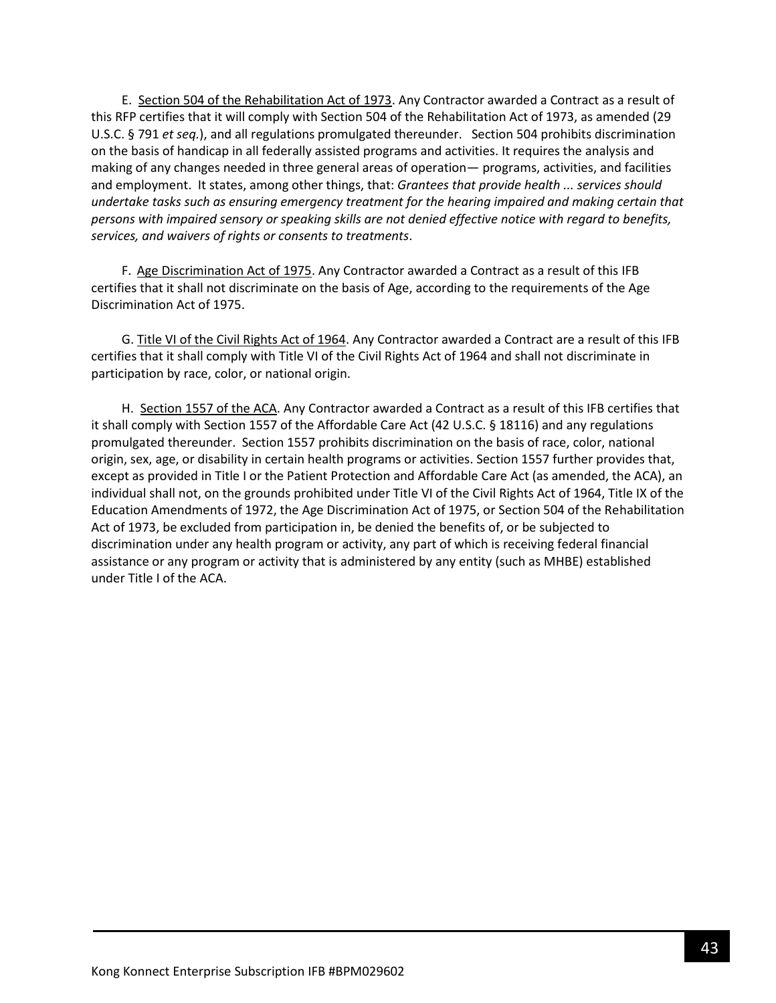E. Section 504 of the Rehabilitation Act of 1973. Any Contractor awarded a Contract as a result of this RFP certifies that it will comply with Section 504 of the Rehabilitation Act of 1973, as amended (29 U.S.C. § 791 *et seq.*), and all regulations promulgated thereunder. Section 504 prohibits discrimination on the basis of handicap in all federally assisted programs and activities. It requires the analysis and making of any changes needed in three general areas of operation— programs, activities, and facilities and employment. It states, among other things, that: *Grantees that provide health ... services should undertake tasks such as ensuring emergency treatment for the hearing impaired and making certain that persons with impaired sensory or speaking skills are not denied effective notice with regard to benefits, services, and waivers of rights or consents to treatments*.

F. Age Discrimination Act of 1975. Any Contractor awarded a Contract as a result of this IFB certifies that it shall not discriminate on the basis of Age, according to the requirements of the Age Discrimination Act of 1975.

G. Title VI of the Civil Rights Act of 1964. Any Contractor awarded a Contract are a result of this IFB certifies that it shall comply with Title VI of the Civil Rights Act of 1964 and shall not discriminate in participation by race, color, or national origin.

H. Section 1557 of the ACA. Any Contractor awarded a Contract as a result of this IFB certifies that it shall comply with Section 1557 of the Affordable Care Act (42 U.S.C. § 18116) and any regulations promulgated thereunder. Section 1557 prohibits discrimination on the basis of race, color, national origin, sex, age, or disability in certain health programs or activities. Section 1557 further provides that, except as provided in Title I or the Patient Protection and Affordable Care Act (as amended, the ACA), an individual shall not, on the grounds prohibited under Title VI of the Civil Rights Act of 1964, Title IX of the Education Amendments of 1972, the Age Discrimination Act of 1975, or Section 504 of the Rehabilitation Act of 1973, be excluded from participation in, be denied the benefits of, or be subjected to discrimination under any health program or activity, any part of which is receiving federal financial assistance or any program or activity that is administered by any entity (such as MHBE) established under Title I of the ACA.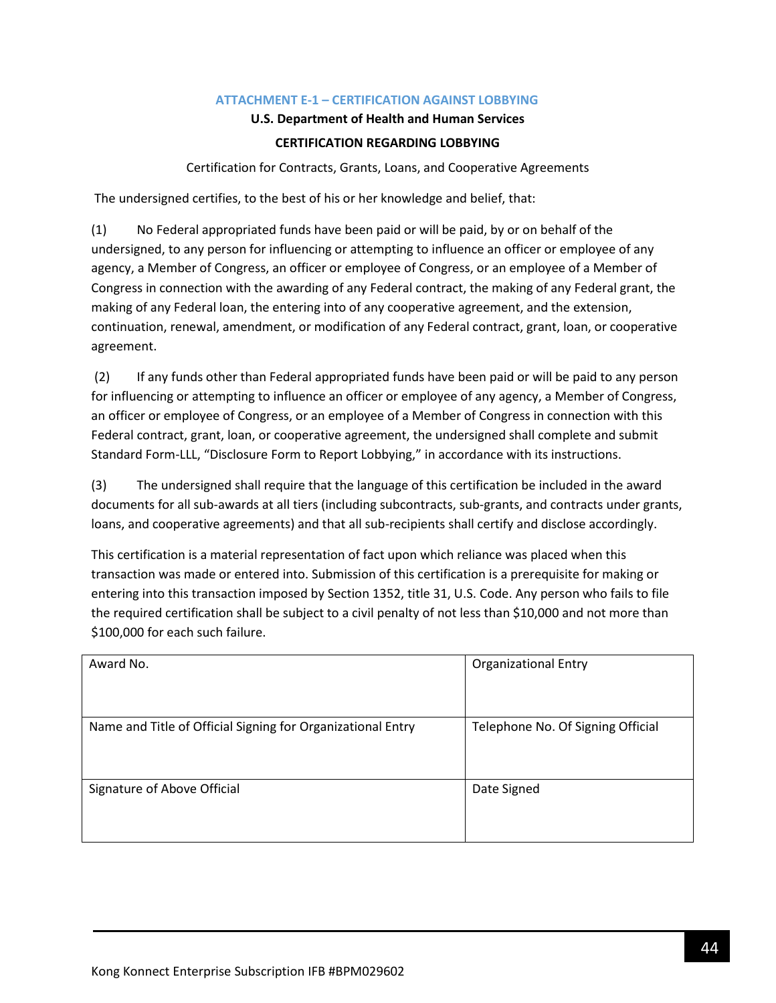# **ATTACHMENT E-1 – CERTIFICATION AGAINST LOBBYING**

### **U.S. Department of Health and Human Services**

# **CERTIFICATION REGARDING LOBBYING**

Certification for Contracts, Grants, Loans, and Cooperative Agreements

<span id="page-43-0"></span>The undersigned certifies, to the best of his or her knowledge and belief, that:

(1) No Federal appropriated funds have been paid or will be paid, by or on behalf of the undersigned, to any person for influencing or attempting to influence an officer or employee of any agency, a Member of Congress, an officer or employee of Congress, or an employee of a Member of Congress in connection with the awarding of any Federal contract, the making of any Federal grant, the making of any Federal loan, the entering into of any cooperative agreement, and the extension, continuation, renewal, amendment, or modification of any Federal contract, grant, loan, or cooperative agreement.

(2) If any funds other than Federal appropriated funds have been paid or will be paid to any person for influencing or attempting to influence an officer or employee of any agency, a Member of Congress, an officer or employee of Congress, or an employee of a Member of Congress in connection with this Federal contract, grant, loan, or cooperative agreement, the undersigned shall complete and submit Standard Form-LLL, "Disclosure Form to Report Lobbying," in accordance with its instructions.

(3) The undersigned shall require that the language of this certification be included in the award documents for all sub-awards at all tiers (including subcontracts, sub-grants, and contracts under grants, loans, and cooperative agreements) and that all sub-recipients shall certify and disclose accordingly.

This certification is a material representation of fact upon which reliance was placed when this transaction was made or entered into. Submission of this certification is a prerequisite for making or entering into this transaction imposed by Section 1352, title 31, U.S. Code. Any person who fails to file the required certification shall be subject to a civil penalty of not less than \$10,000 and not more than \$100,000 for each such failure.

| Award No.                                                   | <b>Organizational Entry</b>       |
|-------------------------------------------------------------|-----------------------------------|
| Name and Title of Official Signing for Organizational Entry | Telephone No. Of Signing Official |
| Signature of Above Official                                 | Date Signed                       |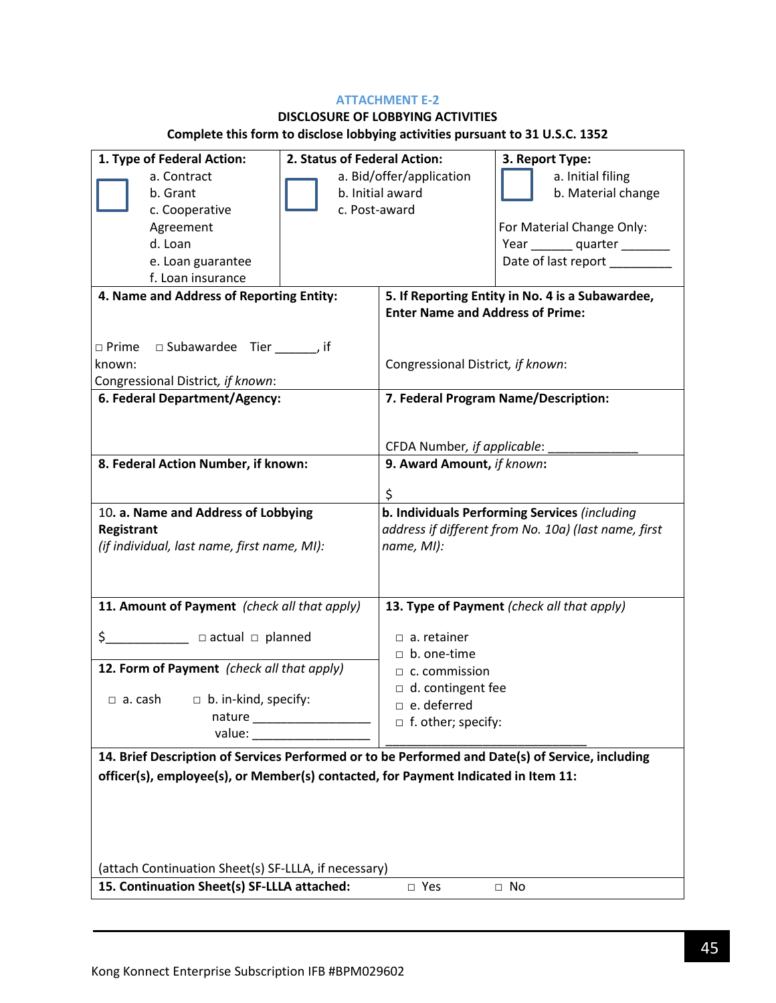# **ATTACHMENT E-2**

# **DISCLOSURE OF LOBBYING ACTIVITIES**

# **Complete this form to disclose lobbying activities pursuant to 31 U.S.C. 1352**

| 1. Type of Federal Action:                                                                       | 2. Status of Federal Action: |                                                     | 3. Report Type:                                      |  |
|--------------------------------------------------------------------------------------------------|------------------------------|-----------------------------------------------------|------------------------------------------------------|--|
| a. Contract                                                                                      | a. Bid/offer/application     |                                                     | a. Initial filing                                    |  |
| b. Grant                                                                                         | b. Initial award             |                                                     | b. Material change                                   |  |
| c. Cooperative                                                                                   | c. Post-award                |                                                     |                                                      |  |
| Agreement                                                                                        |                              |                                                     | For Material Change Only:                            |  |
| d. Loan                                                                                          |                              |                                                     | Year quarter                                         |  |
| e. Loan guarantee                                                                                |                              |                                                     | Date of last report ________                         |  |
| f. Loan insurance                                                                                |                              |                                                     |                                                      |  |
| 4. Name and Address of Reporting Entity:                                                         |                              |                                                     | 5. If Reporting Entity in No. 4 is a Subawardee,     |  |
|                                                                                                  |                              | <b>Enter Name and Address of Prime:</b>             |                                                      |  |
|                                                                                                  |                              |                                                     |                                                      |  |
| $\Box$ Prime $\Box$ Subawardee Tier ______, if                                                   |                              |                                                     |                                                      |  |
| known:                                                                                           |                              | Congressional District, if known:                   |                                                      |  |
| Congressional District, if known:                                                                |                              |                                                     |                                                      |  |
| 6. Federal Department/Agency:                                                                    |                              |                                                     | 7. Federal Program Name/Description:                 |  |
|                                                                                                  |                              |                                                     |                                                      |  |
|                                                                                                  |                              |                                                     |                                                      |  |
|                                                                                                  |                              | CFDA Number, if applicable:                         |                                                      |  |
| 8. Federal Action Number, if known:                                                              |                              | 9. Award Amount, if known:                          |                                                      |  |
|                                                                                                  |                              |                                                     |                                                      |  |
|                                                                                                  |                              | \$<br>b. Individuals Performing Services (including |                                                      |  |
| 10. a. Name and Address of Lobbying                                                              |                              |                                                     |                                                      |  |
| Registrant                                                                                       |                              |                                                     | address if different from No. 10a) (last name, first |  |
| (if individual, last name, first name, MI):                                                      |                              | name, MI):                                          |                                                      |  |
|                                                                                                  |                              |                                                     |                                                      |  |
|                                                                                                  |                              |                                                     |                                                      |  |
| 11. Amount of Payment (check all that apply)                                                     |                              |                                                     | 13. Type of Payment (check all that apply)           |  |
|                                                                                                  |                              |                                                     |                                                      |  |
|                                                                                                  |                              | $\Box$ a. retainer                                  |                                                      |  |
|                                                                                                  |                              | $\Box$ b. one-time                                  |                                                      |  |
| 12. Form of Payment (check all that apply)                                                       |                              | $\Box$ c. commission                                |                                                      |  |
| $\Box$ b. in-kind, specify:<br>$\Box$ a. cash                                                    |                              | $\Box$ d. contingent fee                            |                                                      |  |
| nature                                                                                           |                              | $\Box$ e. deferred                                  |                                                      |  |
| value:                                                                                           |                              | $\Box$ f. other; specify:                           |                                                      |  |
|                                                                                                  |                              |                                                     |                                                      |  |
| 14. Brief Description of Services Performed or to be Performed and Date(s) of Service, including |                              |                                                     |                                                      |  |
| officer(s), employee(s), or Member(s) contacted, for Payment Indicated in Item 11:               |                              |                                                     |                                                      |  |
|                                                                                                  |                              |                                                     |                                                      |  |
|                                                                                                  |                              |                                                     |                                                      |  |
|                                                                                                  |                              |                                                     |                                                      |  |
|                                                                                                  |                              |                                                     |                                                      |  |
| (attach Continuation Sheet(s) SF-LLLA, if necessary)                                             |                              |                                                     |                                                      |  |
| 15. Continuation Sheet(s) SF-LLLA attached:                                                      |                              | □ Yes                                               | $\Box$ No                                            |  |
|                                                                                                  |                              |                                                     |                                                      |  |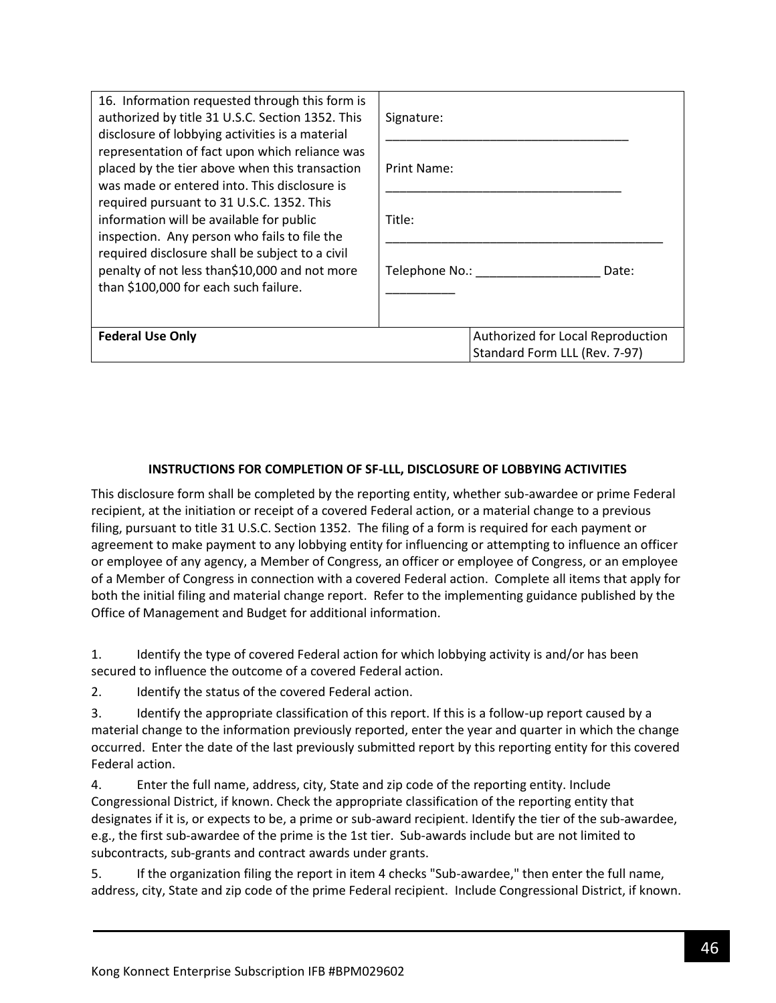| 16. Information requested through this form is<br>authorized by title 31 U.S.C. Section 1352. This<br>disclosure of lobbying activities is a material<br>representation of fact upon which reliance was<br>placed by the tier above when this transaction<br>was made or entered into. This disclosure is<br>required pursuant to 31 U.S.C. 1352. This<br>information will be available for public<br>inspection. Any person who fails to file the<br>required disclosure shall be subject to a civil<br>penalty of not less than\$10,000 and not more<br>than \$100,000 for each such failure. | Signature:                                                         |
|-------------------------------------------------------------------------------------------------------------------------------------------------------------------------------------------------------------------------------------------------------------------------------------------------------------------------------------------------------------------------------------------------------------------------------------------------------------------------------------------------------------------------------------------------------------------------------------------------|--------------------------------------------------------------------|
|                                                                                                                                                                                                                                                                                                                                                                                                                                                                                                                                                                                                 | Print Name:                                                        |
|                                                                                                                                                                                                                                                                                                                                                                                                                                                                                                                                                                                                 | Title:                                                             |
|                                                                                                                                                                                                                                                                                                                                                                                                                                                                                                                                                                                                 | Telephone No.:<br>Date:                                            |
| <b>Federal Use Only</b>                                                                                                                                                                                                                                                                                                                                                                                                                                                                                                                                                                         | Authorized for Local Reproduction<br>Standard Form LLL (Rev. 7-97) |

# **INSTRUCTIONS FOR COMPLETION OF SF-LLL, DISCLOSURE OF LOBBYING ACTIVITIES**

This disclosure form shall be completed by the reporting entity, whether sub-awardee or prime Federal recipient, at the initiation or receipt of a covered Federal action, or a material change to a previous filing, pursuant to title 31 U.S.C. Section 1352. The filing of a form is required for each payment or agreement to make payment to any lobbying entity for influencing or attempting to influence an officer or employee of any agency, a Member of Congress, an officer or employee of Congress, or an employee of a Member of Congress in connection with a covered Federal action. Complete all items that apply for both the initial filing and material change report. Refer to the implementing guidance published by the Office of Management and Budget for additional information.

1. Identify the type of covered Federal action for which lobbying activity is and/or has been secured to influence the outcome of a covered Federal action.

2. Identify the status of the covered Federal action.

3. Identify the appropriate classification of this report. If this is a follow-up report caused by a material change to the information previously reported, enter the year and quarter in which the change occurred. Enter the date of the last previously submitted report by this reporting entity for this covered Federal action.

4. Enter the full name, address, city, State and zip code of the reporting entity. Include Congressional District, if known. Check the appropriate classification of the reporting entity that designates if it is, or expects to be, a prime or sub-award recipient. Identify the tier of the sub-awardee, e.g., the first sub-awardee of the prime is the 1st tier. Sub-awards include but are not limited to subcontracts, sub-grants and contract awards under grants.

5. If the organization filing the report in item 4 checks "Sub-awardee," then enter the full name, address, city, State and zip code of the prime Federal recipient. Include Congressional District, if known.